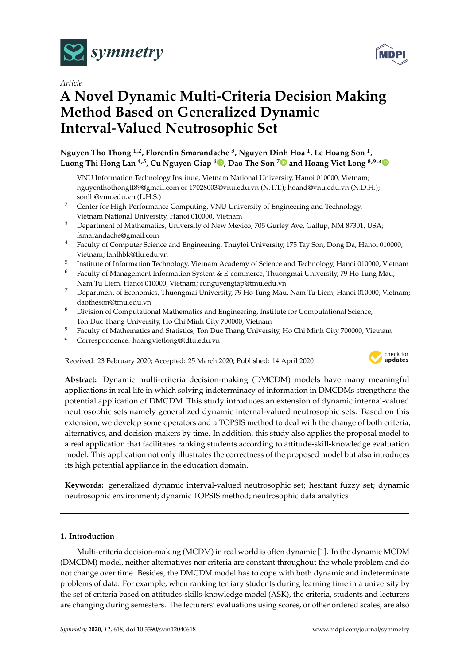

*Article*

# **A Novel Dynamic Multi-Criteria Decision Making Method Based on Generalized Dynamic Interval-Valued Neutrosophic Set**

**Nguyen Tho Thong 1,2, Florentin Smarandache <sup>3</sup> , Nguyen Dinh Hoa <sup>1</sup> , Le Hoang Son <sup>1</sup> , Luong Thi Hong Lan 4,5, Cu Nguyen Giap <sup>6</sup> [,](https://orcid.org/0000-0002-2189-0036) Dao The Son [7](https://orcid.org/0000-0001-8334-9985) and Hoang Viet Long 8,9,[\\*](https://orcid.org/0000-0001-6657-0653)**

- <sup>1</sup> VNU Information Technology Institute, Vietnam National University, Hanoi 010000, Vietnam; nguyenthothongtt89@gmail.com or 17028003@vnu.edu.vn (N.T.T.); hoand@vnu.edu.vn (N.D.H.); sonlh@vnu.edu.vn (L.H.S.)
- <sup>2</sup> Center for High-Performance Computing, VNU University of Engineering and Technology, Vietnam National University, Hanoi 010000, Vietnam
- <sup>3</sup> Department of Mathematics, University of New Mexico, 705 Gurley Ave, Gallup, NM 87301, USA; fsmarandache@gmail.com
- <sup>4</sup> Faculty of Computer Science and Engineering, Thuyloi University, 175 Tay Son, Dong Da, Hanoi 010000, Vietnam; lanlhbk@tlu.edu.vn
- 5 Institute of Information Technology, Vietnam Academy of Science and Technology, Hanoi 010000, Vietnam
- <sup>6</sup> Faculty of Management Information System & E-commerce, Thuongmai University, 79 Ho Tung Mau, Nam Tu Liem, Hanoi 010000, Vietnam; cunguyengiap@tmu.edu.vn
- <sup>7</sup> Department of Economics, Thuongmai University, 79 Ho Tung Mau, Nam Tu Liem, Hanoi 010000, Vietnam; daotheson@tmu.edu.vn
- 8 Division of Computational Mathematics and Engineering, Institute for Computational Science, Ton Duc Thang University, Ho Chi Minh City 700000, Vietnam
- <sup>9</sup> Faculty of Mathematics and Statistics, Ton Duc Thang University, Ho Chi Minh City 700000, Vietnam
- **\*** Correspondence: hoangvietlong@tdtu.edu.vn

Received: 23 February 2020; Accepted: 25 March 2020; Published: 14 April 2020



**Abstract:** Dynamic multi-criteria decision-making (DMCDM) models have many meaningful applications in real life in which solving indeterminacy of information in DMCDMs strengthens the potential application of DMCDM. This study introduces an extension of dynamic internal-valued neutrosophic sets namely generalized dynamic internal-valued neutrosophic sets. Based on this extension, we develop some operators and a TOPSIS method to deal with the change of both criteria, alternatives, and decision-makers by time. In addition, this study also applies the proposal model to a real application that facilitates ranking students according to attitude-skill-knowledge evaluation model. This application not only illustrates the correctness of the proposed model but also introduces its high potential appliance in the education domain.

**Keywords:** generalized dynamic interval-valued neutrosophic set; hesitant fuzzy set; dynamic neutrosophic environment; dynamic TOPSIS method; neutrosophic data analytics

# <span id="page-0-0"></span>**1. Introduction**

Multi-criteria decision-making (MCDM) in real world is often dynamic [\[1\]](#page-18-0). In the dynamic MCDM (DMCDM) model, neither alternatives nor criteria are constant throughout the whole problem and do not change over time. Besides, the DMCDM model has to cope with both dynamic and indeterminate problems of data. For example, when ranking tertiary students during learning time in a university by the set of criteria based on attitudes-skills-knowledge model (ASK), the criteria, students and lecturers are changing during semesters. The lecturers' evaluations using scores, or other ordered scales, are also

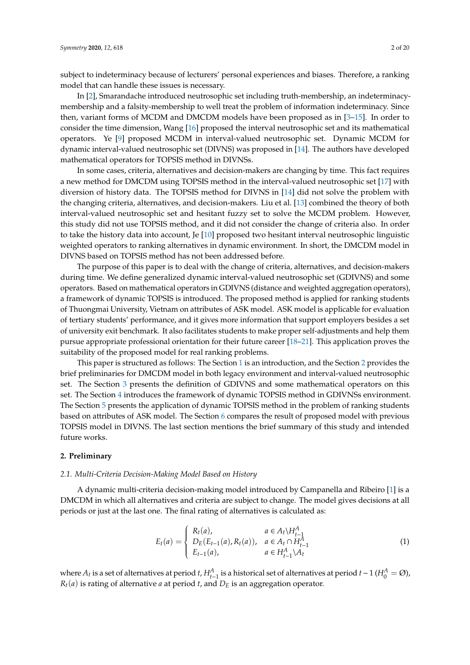subject to indeterminacy because of lecturers' personal experiences and biases. Therefore, a ranking model that can handle these issues is necessary.

In [\[2\]](#page-18-1), Smarandache introduced neutrosophic set including truth-membership, an indeterminacymembership and a falsity-membership to well treat the problem of information indeterminacy. Since then, variant forms of MCDM and DMCDM models have been proposed as in [\[3](#page-18-2)[–15\]](#page-18-3). In order to consider the time dimension, Wang [\[16\]](#page-19-0) proposed the interval neutrosophic set and its mathematical operators. Ye [\[9\]](#page-18-4) proposed MCDM in interval-valued neutrosophic set. Dynamic MCDM for dynamic interval-valued neutrosophic set (DIVNS) was proposed in [\[14\]](#page-18-5). The authors have developed mathematical operators for TOPSIS method in DIVNSs.

In some cases, criteria, alternatives and decision-makers are changing by time. This fact requires a new method for DMCDM using TOPSIS method in the interval-valued neutrosophic set [\[17\]](#page-19-1) with diversion of history data. The TOPSIS method for DIVNS in [\[14\]](#page-18-5) did not solve the problem with the changing criteria, alternatives, and decision-makers. Liu et al. [\[13\]](#page-18-6) combined the theory of both interval-valued neutrosophic set and hesitant fuzzy set to solve the MCDM problem. However, this study did not use TOPSIS method, and it did not consider the change of criteria also. In order to take the history data into account, Je [\[10\]](#page-18-7) proposed two hesitant interval neutrosophic linguistic weighted operators to ranking alternatives in dynamic environment. In short, the DMCDM model in DIVNS based on TOPSIS method has not been addressed before.

The purpose of this paper is to deal with the change of criteria, alternatives, and decision-makers during time. We define generalized dynamic interval-valued neutrosophic set (GDIVNS) and some operators. Based on mathematical operators in GDIVNS (distance and weighted aggregation operators), a framework of dynamic TOPSIS is introduced. The proposed method is applied for ranking students of Thuongmai University, Vietnam on attributes of ASK model. ASK model is applicable for evaluation of tertiary students' performance, and it gives more information that support employers besides a set of university exit benchmark. It also facilitates students to make proper self-adjustments and help them pursue appropriate professional orientation for their future career [\[18–](#page-19-2)[21\]](#page-19-3). This application proves the suitability of the proposed model for real ranking problems.

This paper is structured as follows: The Section [1](#page-0-0) is an introduction, and the Section [2](#page-1-0) provides the brief preliminaries for DMCDM model in both legacy environment and interval-valued neutrosophic set. The Section [3](#page-2-0) presents the definition of GDIVNS and some mathematical operators on this set. The Section [4](#page-8-0) introduces the framework of dynamic TOPSIS method in GDIVNSs environment. The Section [5](#page-11-0) presents the application of dynamic TOPSIS method in the problem of ranking students based on attributes of ASK model. The Section [6](#page-17-0) compares the result of proposed model with previous TOPSIS model in DIVNS. The last section mentions the brief summary of this study and intended future works.

#### <span id="page-1-0"></span>**2. Preliminary**

## *2.1. Multi-Criteria Decision-Making Model Based on History*

A dynamic multi-criteria decision-making model introduced by Campanella and Ribeiro [\[1\]](#page-18-0) is a DMCDM in which all alternatives and criteria are subject to change. The model gives decisions at all periods or just at the last one. The final rating of alternatives is calculated as:

$$
E_t(a) = \begin{cases} R_t(a), & a \in A_t \backslash H_{t-1}^A \\ D_E(E_{t-1}(a), R_t(a)), & a \in A_t \cap H_{t-1}^A \\ E_{t-1}(a), & a \in H_{t-1}^A \backslash A_t \end{cases}
$$
(1)

where  $A_t$  is a set of alternatives at period  $t$ ,  $H_{t-1}^A$  is a historical set of alternatives at period  $t-1$  ( $H_0^A = \emptyset$ ),  $R_t(a)$  is rating of alternative *a* at period *t*, and  $D_E$  is an aggregation operator.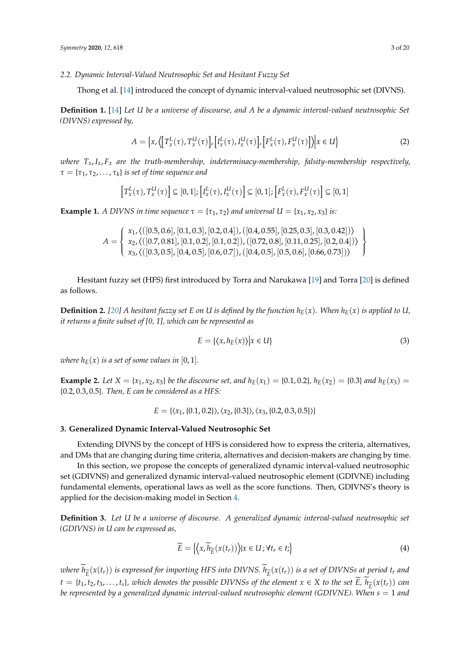*2.2. Dynamic Interval-Valued Neutrosophic Set and Hesitant Fuzzy Set*

Thong et al. [\[14\]](#page-18-5) introduced the concept of dynamic interval-valued neutrosophic set (DIVNS).

**Definition 1.** [\[14\]](#page-18-5) *Let U be a universe of discourse, and A be a dynamic interval-valued neutrosophic Set (DIVNS) expressed by,*

$$
A = \left\{ x, \left\langle \left[ T_x^L(\tau), T_x^U(\tau) \right], \left[ I_x^L(\tau), I_x^U(\tau) \right], \left[ F_x^L(\tau), F_x^U(\tau) \right] \right\rangle \middle| x \in U \right\}
$$
 (2)

*where Tx*,*Ix*, *F<sup>x</sup> are the truth-membership, indeterminacy-membership, falsity-membership respectively,*  $\tau = {\tau_1, \tau_2, ..., \tau_k}$  *is set of time sequence and* 

$$
\left[T_x^L(\tau), T_x^U(\tau)\right] \subseteq [0,1]; \left[I_x^L(\tau), I_x^U(\tau)\right] \subseteq [0,1]; \left[F_x^L(\tau), F_x^U(\tau)\right] \subseteq [0,1]
$$

**Example 1.** *A DIVNS in time sequence*  $\tau = {\tau_1, \tau_2}$  *and universal*  $U = {x_1, x_2, x_3}$  *is:* 

$$
A = \left\{ \begin{array}{l} x_1, \langle ([0.5, 0.6], [0.1, 0.3], [0.2, 0.4]), ([0.4, 0.55], [0.25, 0.3], [0.3, 0.42]) \rangle \\ x_2, \langle ([0.7, 0.81], [0.1, 0.2], [0.1, 0.2]), ([0.72, 0.8], [0.11, 0.25], [0.2, 0.4]) \rangle \\ x_3, \langle ([0.3, 0.5], [0.4, 0.5], [0.6, 0.7]), ([0.4, 0.5], [0.5, 0.6], [0.66, 0.73]) \rangle \end{array} \right\}
$$

Hesitant fuzzy set (HFS) first introduced by Torra and Narukawa [\[19\]](#page-19-4) and Torra [\[20\]](#page-19-5) is defined as follows.

**Definition 2.** [\[20\]](#page-19-5) A hesitant fuzzy set E on U is defined by the function  $h_E(x)$ . When  $h_E(x)$  is applied to U, *it returns a finite subset of [0, 1], which can be represented as*

$$
E = \{ \langle x, h_E(x) \rangle \big| x \in U \}
$$
\n(3)

*where*  $h_E(x)$  *is a set of some values in* [0, 1].

**Example 2.** Let  $X = \{x_1, x_2, x_3\}$  be the discourse set, and  $h_E(x_1) = \{0.1, 0.2\}$ ,  $h_E(x_2) = \{0.3\}$  and  $h_E(x_3) =$ {0.2, 0.3, 0.5}*. Then, E can be considered as a HFS:*

 $E = \{ \langle x_1, \{0.1, 0.2\} \rangle, \langle x_2, \{0.3\} \rangle, \langle x_3, \{0.2, 0.3, 0.5\} \rangle \}$ 

## <span id="page-2-0"></span>**3. Generalized Dynamic Interval-Valued Neutrosophic Set**

Extending DIVNS by the concept of HFS is considered how to express the criteria, alternatives, and DMs that are changing during time criteria, alternatives and decision-makers are changing by time.

In this section, we propose the concepts of generalized dynamic interval-valued neutrosophic set (GDIVNS) and generalized dynamic interval-valued neutrosophic element (GDIVNE) including fundamental elements, operational laws as well as the score functions. Then, GDIVNS's theory is applied for the decision-making model in Section [4.](#page-8-0)

**Definition 3.** *Let U be a universe of discourse. A generalized dynamic interval-valued neutrosophic set (GDIVNS) in U can be expressed as,*

$$
\widetilde{E} = \left\{ \left\langle x, \widetilde{h}_{\widetilde{E}}(x(t_r)) \right\rangle | x \in U; \forall t_r \in t \right\}
$$
\n<sup>(4)</sup>

*where*  $h_{\widetilde{E}}(x(t_r))$  *is expressed for importing HFS into DIVNS.*  $h_{\widetilde{E}}(x(t_r))$  *is a set of DIVNSs at period t<sub>r</sub> and*  $t = \{t_1, t_2, t_3, \ldots, t_s\}$ , which denotes the possible DIVNSs of the element  $x \in X$  to the set  $\widetilde{E}$ ,  $\widetilde{h}_{\widetilde{E}}(x(t_r))$  can<br>be nonnegated by a supporting denominate internal polyged produces which down (CDUAF) MI *be represented by a generalized dynamic interval-valued neutrosophic element (GDIVNE). When s* = 1 *and*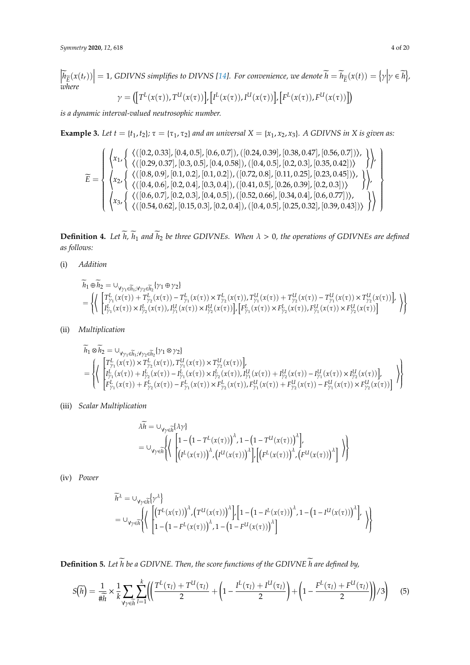$\left|\widetilde{h}_{\widetilde{E}}(x(t_r))\right|=1$ , GDIVNS simplifies to DIVNS [\[14\]](#page-18-5). For convenience, we denote  $\widetilde{h}=\widetilde{h}_{\widetilde{E}}(x(t))=\left\{\gamma\Big|\gamma\in\widetilde{h}\right\}$ , *where*

$$
\gamma = \big( \big[ T^L(x(\tau)), T^U(x(\tau)) \big], \big[ I^L(x(\tau)), I^U(x(\tau)) \big], \big[ F^L(x(\tau)), F^U(x(\tau)) \big] \big)
$$

*is a dynamic interval-valued neutrosophic number.*

**Example 3.** *Let t* = { $t_1$ ,  $t_2$ };  $\tau$  = { $\tau_1$ ,  $\tau_2$ } *and an universal*  $X = \{x_1, x_2, x_3\}$ *.* A GDIVNS in X is given as:

$$
\widetilde{E} = \begin{cases}\n\left\{\begin{array}{l}\n\left\{\left(\left[0.2, 0.33\right], \left[0.4, 0.5\right], \left[0.6, 0.7\right]\right), \left(\left[0.24, 0.39\right], \left[0.38, 0.47\right], \left[0.56, 0.7\right]\right)\right\}, \\
\left\{\left(\left(\left[0.29, 0.37\right], \left[0.3, 0.5\right], \left[0.4, 0.58\right]\right), \left(\left[0.4, 0.5\right], \left[0.2, 0.3\right], \left[0.35, 0.42\right]\right)\right\}, \\
\left\{\begin{array}{l}\n\left\{\left(\left[0.8, 0.9\right], \left[0.1, 0.2\right], \left[0.1, 0.2\right], \left(\left[0.72, 0.8\right], \left[0.11, 0.25\right], \left[0.23, 0.45\right]\right)\right\}, \\
\left\{\left\{\left(\left[0.4, 0.6\right], \left[0.2, 0.4\right], \left[0.3, 0.4\right]\right), \left(\left[0.41, 0.5\right], \left[0.26, 0.39\right], \left[0.2, 0.3\right]\right)\right\}, \\
\left\{\begin{array}{l}\n\left\{\left(\left[0.6, 0.7\right], \left[0.2, 0.3\right], \left[0.4, 0.5\right], \left(\left[0.52, 0.66\right], \left[0.34, 0.4\right], \left[0.6, 0.77\right]\right)\right\}, \\
\left\{\left\{\left(\left[0.54, 0.62\right], \left[0.15, 0.3\right], \left[0.2, 0.4\right]\right), \left(\left[0.4, 0.5\right], \left[0.25, 0.32\right], \left[0.39, 0.43\right]\right)\right\}\right\}\n\end{array}\n\right\}
$$

**Definition 4.** Let  $\widetilde{h}$ ,  $\widetilde{h}_1$  and  $\widetilde{h}_2$  be three GDIVNEs. When  $\lambda > 0$ , the operations of GDIVNEs are defined *as follows:*

(i) *Addition*

$$
\begin{array}{l} \widetilde{h}_{1}\oplus \widetilde{h}_{2} = \cup_{\gamma_{\gamma_{1}}\in \widetilde{h}_{1}; \forall \gamma_{2}\in \widetilde{h}_{2}} \{\gamma_{1}\oplus \gamma_{2}\} \\ = \left\{\left\langle \begin{array}{l} T^{L}_{\gamma_{1}}(x(\tau)) + T^{L}_{\gamma_{2}}(x(\tau)) - T^{L}_{\gamma_{1}}(x(\tau)) \times T^{L}_{\gamma_{2}}(x(\tau)), T^{U}_{\gamma_{1}}(x(\tau)) + T^{U}_{\gamma_{2}}(x(\tau)) - T^{U}_{\gamma_{1}}(x(\tau)) \times T^{U}_{\gamma_{2}}(x(\tau)) \end{array} \right\rangle \right\} \\ = \left\{\left\langle \begin{array}{l} T^{L}_{\gamma_{1}}(x(\tau)) + T^{L}_{\gamma_{2}}(x(\tau)) - T^{L}_{\gamma_{1}}(x(\tau)) \times T^{L}_{\gamma_{2}}(x(\tau)) \times T^{L}_{\gamma_{2}}(x(\tau)) \end{array} \right\rangle \right\} \end{array}
$$

(ii) *Multiplication*

$$
\begin{split} & \overline{h_1} \otimes \overline{h_2} = \cup_{\substack{\gamma_{\gamma_1} \in \widetilde{h}_1; \forall \gamma_2 \in \widetilde{h}_2}} \{ \gamma_1 \otimes \gamma_2 \} \\ & = \left\{ \left\langle \begin{array}{l} \left[T_{\gamma_1}^L(x(\tau)) \times T_{\gamma_2}^L(x(\tau)), T_{\gamma_1}^U(x(\tau)) \times T_{\gamma_2}^U(x(\tau)) \right] , \\ \left[T_{\gamma_1}^L(x(\tau)) + I_{\gamma_2}^L(x(\tau)) - I_{\gamma_1}^L(x(\tau)) \times I_{\gamma_2}^L(x(\tau)), I_{\gamma_1}^U(x(\tau)) + I_{\gamma_2}^U(x(\tau)) - I_{\gamma_1}^U(x(\tau)) \times I_{\gamma_2}^U(x(\tau)) \right] , \\ \left[T_{\gamma_1}^L(x(\tau)) + F_{\gamma_2}^L(x(\tau)) - F_{\gamma_1}^L(x(\tau)) \times F_{\gamma_2}^L(x(\tau)), F_{\gamma_1}^U(x(\tau)) + F_{\gamma_2}^U(x(\tau)) - F_{\gamma_1}^U(x(\tau)) \times F_{\gamma_2}^U(x(\tau)) \right] \end{array} \right) \right\} \end{split}
$$

(iii) *Scalar Multiplication*

$$
\begin{split} &\lambda \widetilde{h} = \cup_{\forall \gamma \in \widetilde{h}} \{\lambda \gamma\} \\ &= \cup_{\forall \gamma \in \widetilde{h}} \left\{ \left\lvert \begin{aligned} &\left[1 - \left(1 - T^L(x(\tau))\right)^{\lambda}, 1 - \left(1 - T^U(x(\tau))\right)^{\lambda} \right], \\ &\left[\left(I^L(x(\tau))\right)^{\lambda}, \left(I^U(x(\tau))\right)^{\lambda} \right], \left[\left(F^L(x(\tau))\right)^{\lambda}, \left(F^U(x(\tau))\right)^{\lambda}\right] \end{aligned} \right\} \right\} \end{split}
$$

(iv) *Power*

$$
\begin{split} &\widetilde{h}^\lambda = \cup_{\forall \gamma \in \widetilde{h}} \Bigl\{ \gamma^\lambda \Bigr\} \\ &= \cup_{\forall \gamma \in \widetilde{h}} \Bigl\{ \Bigl\{ \begin{bmatrix} \bigl(T^L(x(\tau)) \bigr)^\lambda , \bigl(T^U(x(\tau)) \bigr)^\lambda \Bigr], \bigl[ 1- \bigl(1-I^L(x(\tau)) \bigr)^\lambda , 1- \bigl(1-I^U(x(\tau)) \bigr)^\lambda \bigr], \\ 1- \bigl(1-I^L(x(\tau)) \bigr)^\lambda , 1- \bigl(1-F^U(x(\tau)) \bigr)^\lambda \bigr] \end{bmatrix} \end{split} \Biggr\}
$$

**Definition 5.** Let  $\widetilde{h}$  be a GDIVNE. Then, the score functions of the GDIVNE  $\widetilde{h}$  are defined by,

$$
S(\overline{h}) = \frac{1}{\#\overline{h}} \times \frac{1}{k} \sum_{\gamma \in \overline{h}} \sum_{l=1}^{k} \left( \left( \frac{T^L(\tau_l) + T^U(\tau_l)}{2} + \left( 1 - \frac{I^L(\tau_l) + I^U(\tau_l)}{2} \right) + \left( 1 - \frac{F^L(\tau_l) + F^U(\tau_l)}{2} \right) \right) / 3 \right) \tag{5}
$$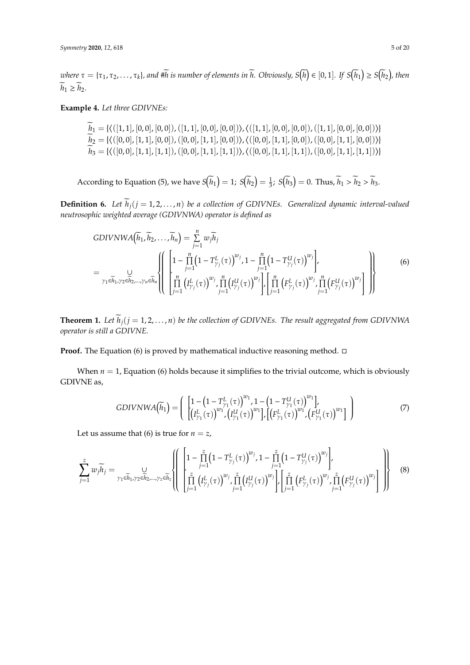$\alpha$  *where*  $\tau = \{\tau_1, \tau_2, \ldots, \tau_k\}$ , and  $\#\widetilde{h}$  is number of elements in  $\widetilde{h}$ . Obviously,  $S(\widetilde{h}) \in [0,1]$ . If  $S(\widetilde{h}_1) \geq S(\widetilde{h}_2)$ , then  $\widetilde{h}_1 \geq \widetilde{h}_2.$ 

**Example 4.** *Let three GDIVNEs:*

 $h_1 = \{ \langle ( [1, 1], [0, 0], [0, 0]) , ([1, 1], [0, 0], [0, 0]) \rangle, \langle ( [1, 1], [0, 0], [0, 0]) , ([1, 1], [0, 0], [0, 0]) \rangle \}$  $h_2 = \{ \langle ([0,0], [1,1], [0,0]) , ([0,0], [1,1], [0,0]) \rangle, \langle ([0,0], [1,1], [0,0]) , ([0,0], [1,1], [0,0]) \rangle \}$  $h_3 = \{ \langle ([0,0], [1,1], [1,1]) , ([0,0], [1,1], [1,1]) \rangle, \langle ([0,0], [1,1], [1,1]) , ([0,0], [1,1], [1,1]) \rangle \}$ 

According to Equation (5), we have  $S(\overline{h}_1) = 1$ ;  $S(\overline{h}_2) = \frac{1}{3}$ ;  $S(\overline{h}_3) = 0$ . Thus,  $\overline{h}_1 > \overline{h}_2 > \overline{h}_3$ .

**Definition 6.** Let  $\widetilde{h}_i$  ( $j = 1, 2, ..., n$ ) be a collection of GDIVNEs. Generalized dynamic interval-valued *neutrosophic weighted average (GDIVNWA) operator is defined as*

GDIVNWA(
$$
\tilde{h}_1, \tilde{h}_2, ..., \tilde{h}_n
$$
) =  $\sum_{j=1}^n w_j \tilde{h}_j$   
\n=  $\bigcup_{\gamma_1 \in \tilde{h}_1, \gamma_2 \in \tilde{h}_2, ..., \gamma_n \in \tilde{h}_n}$   $\left\{\left[\prod_{j=1}^n (1 - T_{\gamma_j}^L(\tau))^{w_j}, 1 - \prod_{j=1}^n (1 - T_{\gamma_j}^U(\tau))^{w_j}\right], \prod_{j=1}^n (F_{\gamma_j}^L(\tau))^{w_j}\right\}$  (6)

**Theorem 1.** *Let*  $\widetilde{h}_j$  ( $j = 1, 2, ..., n$ ) *be the collection of GDIVNEs. The result aggregated from GDIVNWA operator is still a GDIVNE.*

**Proof.** The Equation (6) is proved by mathematical inductive reasoning method.  $\Box$ 

When  $n = 1$ , Equation (6) holds because it simplifies to the trivial outcome, which is obviously GDIVNE as,

GDIVNWA(
$$
\tilde{h}_1
$$
) = 
$$
\begin{pmatrix} 1 - (1 - T_{\gamma_1}^L(\tau))^{w_1}, 1 - (1 - T_{\gamma_1}^U(\tau))^{w_1} \\ \left[ (I_{\gamma_1}^L(\tau))^{w_1}, (I_{\gamma_1}^U(\tau))^{w_1} \right], \left[ (F_{\gamma_1}^L(\tau))^{w_1}, (F_{\gamma_1}^U(\tau))^{w_1} \right] \end{pmatrix}
$$
(7)

Let us assume that (6) is true for  $n = z$ ,

$$
\sum_{j=1}^{z} w_{j} \widetilde{h}_{j} = \bigcup_{\gamma_{1} \in \widetilde{h}_{1}, \gamma_{2} \in \widetilde{h}_{2}, \dots, \gamma_{z} \in \widetilde{h}_{z}} \left\{ \left( \begin{bmatrix} 1 - \prod_{j=1}^{z} \left( 1 - T_{\gamma_{j}}^{L}(\tau) \right)^{w_{j}}, 1 - \prod_{j=1}^{z} \left( 1 - T_{\gamma_{j}}^{U}(\tau) \right)^{w_{j}} \right), \\ \prod_{j=1}^{z} \left( T_{\gamma_{j}}^{L}(\tau) \right)^{w_{j}}, \prod_{j=1}^{z} \left( T_{\gamma_{j}}^{U}(\tau) \right)^{w_{j}} \right\} \cdot \left[ \prod_{j=1}^{z} \left( F_{\gamma_{j}}^{L}(\tau) \right)^{w_{j}}, \prod_{j=1}^{z} \left( F_{\gamma_{j}}^{U}(\tau) \right)^{w_{j}} \right] \right\} \end{bmatrix} \tag{8}
$$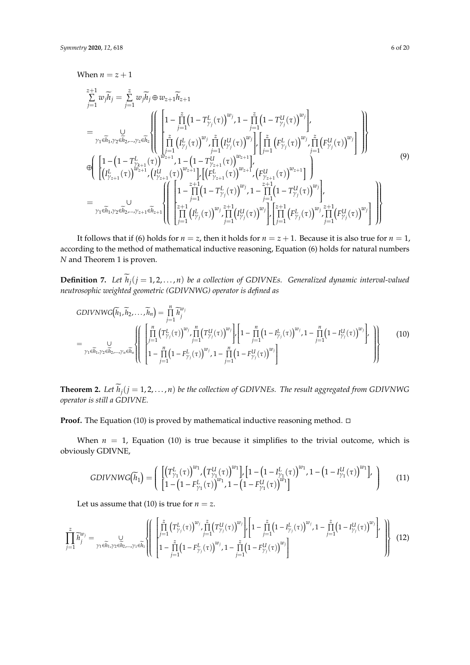$$
\sum_{j=1}^{z+1} w_{j} \widetilde{h}_{j} = \sum_{j=1}^{z} w_{j} \widetilde{h}_{j} \oplus w_{z+1} \widetilde{h}_{z+1}
$$
\n
$$
= \bigcup_{\substack{\gamma_{1} \in \widetilde{h}_{1}, \gamma_{2} \in \widetilde{h}_{2}, \ldots, \gamma_{z} \in \widetilde{h}_{z}}} \left\{ \left( \begin{bmatrix} 1 - \prod_{j=1}^{z} \left( 1 - T_{\gamma_{j}}^{L}(\tau) \right)^{w_{j}}, 1 - \prod_{j=1}^{z} \left( 1 - T_{\gamma_{j}}^{U}(\tau) \right)^{w_{j}} \right) \\ \prod_{j=1}^{z} \left( I_{\gamma_{j}}^{L}(\tau) \right)^{w_{j}} \prod_{j=1}^{z} \left( I_{\gamma_{j}}^{L}(\tau) \right)^{w_{j}} \right\} \cdot \left[ \prod_{j=1}^{z} \left( F_{\gamma_{j}}^{L}(\tau) \right)^{w_{j}} \prod_{j=1}^{z} \left( F_{\gamma_{j}}^{L}(\tau) \right)^{w_{j}} \right] \right\}
$$
\n
$$
\oplus \left( \left[ 1 - \left( 1 - T_{\gamma_{k+1}}^{L}(\tau) \right)^{w_{z+1}}, 1 - \left( 1 - T_{\gamma_{z+1}}^{U}(\tau) \right)^{w_{z+1}} \right] \cdot \left[ \left( F_{\gamma_{z+1}}^{L}(\tau) \right)^{w_{z+1}} \right] \right)
$$
\n
$$
= \bigcup_{\substack{\gamma_{1} \in \widetilde{h}_{1}, \gamma_{2} \in \widetilde{h}_{2}, \ldots, \gamma_{z+1} \in \widetilde{h}_{z+1}}} \left( \left( \begin{bmatrix} 1 - \prod_{j=1}^{z+1} \left( 1 - T_{\gamma_{j}(1)}^{L}(\tau) \right)^{w_{j}}, 1 - \prod_{j=1}^{z+1} \left( 1 - T_{\gamma_{j}(1)}^{U}(\tau) \right)^{w_{j}} \right] \cdot \left[ \prod_{j=1}^{z+1} \left( 1 - T_{\gamma_{j}(1)}^{L}(\tau) \right)^{w_{j}} \right] \cdot \left[ \prod_{j=1}^{z+1} \left( F
$$

It follows that if (6) holds for  $n = z$ , then it holds for  $n = z + 1$ . Because it is also true for  $n = 1$ , according to the method of mathematical inductive reasoning, Equation (6) holds for natural numbers *N* and Theorem 1 is proven.

**Definition 7.** Let  $\widetilde{h}_j$  ( $j = 1, 2, ..., n$ ) be a collection of GDIVNEs. Generalized dynamic interval-valued *neutrosophic weighted geometric (GDIVNWG) operator is defined as*

GDIVNWG(
$$
\tilde{h}_1, \tilde{h}_2, ..., \tilde{h}_n
$$
) =  $\prod_{j=1}^n \tilde{h}_j^{w_j}$   
\n=  $\bigcup_{\gamma_1 \in \tilde{h}_1, \gamma_2 \in \tilde{h}_2, ..., \gamma_n \in \tilde{h}_n} \left\{ \left[ \prod_{j=1}^n (T_{\gamma_j}^L(\tau))^{w_j} \prod_{j=1}^n (T_{\gamma_j}^U(\tau))^{w_j} \right] \cdot \left[ 1 - \prod_{j=1}^n (1 - I_{\gamma_j}^L(\tau))^{w_j} \cdot 1 - \prod_{j=1}^n (1 - I_{\gamma_j}^U(\tau))^{w_j} \right] \right\}$  (10)

**Theorem 2.** Let  $\widetilde{h}_j$  ( $j = 1, 2, ..., n$ ) be the collection of GDIVNEs. The result aggregated from GDIVNWG *operator is still a GDIVNE.*

**Proof.** The Equation (10) is proved by mathematical inductive reasoning method.  $\Box$ 

When  $n = 1$ , Equation (10) is true because it simplifies to the trivial outcome, which is obviously GDIVNE,

$$
GDIVNWG(\widetilde{h}_1) = \left( \begin{array}{c} \left[ \left( T_{\gamma_1}^L(\tau) \right)^{w_1} \left( T_{\gamma_1}^U(\tau) \right)^{w_1} \right], \left[ 1 - \left( 1 - I_{\gamma_1}^L(\tau) \right)^{w_1}, 1 - \left( 1 - I_{\gamma_1}^U(\tau) \right)^{w_1} \right], \\ \left[ 1 - \left( 1 - F_{\gamma_1}^L(\tau) \right)^{w_1}, 1 - \left( 1 - F_{\gamma_1}^U(\tau) \right)^{w_1} \right] \end{array} \right) \tag{11}
$$

Let us assume that (10) is true for  $n = z$ .

$$
\prod_{j=1}^{z} \widetilde{h}_{j}^{w_{j}} = \bigcup_{\gamma_{1} \in \widetilde{h}_{1}, \gamma_{2} \in \widetilde{h}_{2}, \dots, \gamma_{z} \in \widetilde{h}_{z}} \left\{ \left( \begin{array}{c} \left[ \prod_{j=1}^{z} \left( T_{\gamma_{j}}^{L}(\tau) \right)^{w_{j}}, \prod_{j=1}^{z} \left( T_{\gamma_{j}}^{U}(\tau) \right)^{w_{j}} \right]_{r} \left[ 1 - \prod_{j=1}^{z} \left( 1 - I_{\gamma_{j}}^{L}(\tau) \right)^{w_{j}}, 1 - \prod_{j=1}^{z} \left( 1 - I_{\gamma_{j}}^{U}(\tau) \right)^{w_{j}} \right]_{r} \right\} \\ \left[ 1 - \prod_{j=1}^{z} \left( 1 - F_{\gamma_{j}}^{L}(\tau) \right)^{w_{j}}, 1 - \prod_{j=1}^{z} \left( 1 - F_{\gamma_{j}}^{U}(\tau) \right)^{w_{j}} \right] \right\} \end{array} \right\} \tag{12}
$$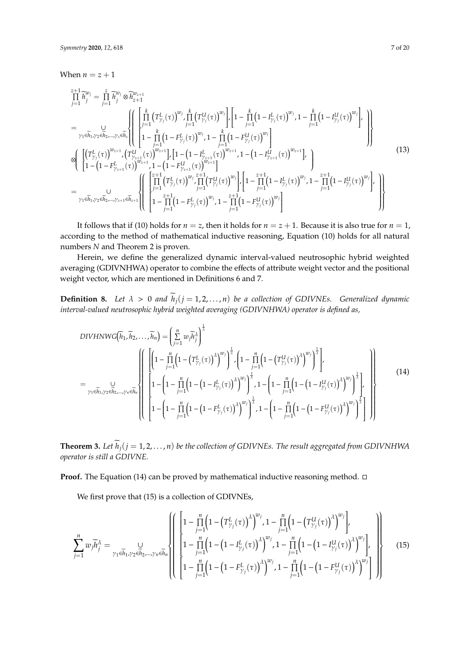When  $n = z + 1$ 

$$
\prod_{j=1}^{z+1} \widetilde{h}_{j}^{w_{j}} = \prod_{j=1}^{z} \widetilde{h}_{j}^{w_{j}} \otimes \widetilde{h}_{z+1}^{w_{z+1}}
$$
\n
$$
= \bigcup_{\substack{\gamma_{1} \in \widetilde{h}_{1}, \gamma_{2} \in \widetilde{h}_{2}, \dots, \gamma_{z} \in \widetilde{h}_{z}}} \left\{ \left[ \prod_{j=1}^{k} \left( T_{\gamma_{j}}^{L}(\tau) \right)^{w_{j}} \prod_{j=1}^{k} \left( T_{\gamma_{j}}^{U}(\tau) \right)^{w_{j}} \right] \right\} \left[ 1 - \prod_{j=1}^{k} \left( 1 - I_{\gamma_{j}}^{L}(\tau) \right)^{w_{j}}, 1 - \prod_{j=1}^{k} \left( 1 - I_{\gamma_{j}}^{U}(\tau) \right)^{w_{j}} \right],
$$
\n
$$
\otimes \left\{ \left[ \left( T_{\gamma_{j}}^{L}(\tau) \right)^{w_{z+1}}, \left( T_{\gamma_{z+1}}^{U}(\tau) \right)^{w_{z+1}} \right] \left[ 1 - \left( 1 - I_{\gamma_{z+1}}^{L}(\tau) \right)^{w_{z+1}}, 1 - \left( 1 - I_{\gamma_{z+1}}^{U}(\tau) \right)^{w_{z+1}}, 1 - \left( 1 - I_{\gamma_{z+1}}^{U}(\tau) \right)^{w_{z+1}} \right] \right\}
$$
\n
$$
= \bigcup_{\gamma_{1} \in \widetilde{h}_{1}, \gamma_{2} \in \widetilde{h}_{2}, \dots, \gamma_{z+1} \in \widetilde{h}_{z+1}} \left\{ \left[ \left( \prod_{j=1}^{z+1} \left( T_{\gamma_{j}}^{L}(\tau) \right)^{w_{j}} \prod_{j=1}^{z+1} \left( T_{\gamma_{j}}^{U}(\tau) \right)^{w_{j}} \right] \right\} \left[ 1 - \prod_{j=1}^{z+1} \left( 1 - I_{\gamma_{z+1}}^{L}(\tau) \right)^{w_{j}}, 1 - \prod_{j=1}^{z+1} \left( 1 - I_{\gamma_{j}}^{L}(\tau) \right)^{w_{j}} \right] \right\}
$$
\n
$$
=
$$

It follows that if (10) holds for  $n = z$ , then it holds for  $n = z + 1$ . Because it is also true for  $n = 1$ , according to the method of mathematical inductive reasoning, Equation (10) holds for all natural numbers *N* and Theorem 2 is proven.

Herein, we define the generalized dynamic interval-valued neutrosophic hybrid weighted averaging (GDIVNHWA) operator to combine the effects of attribute weight vector and the positional weight vector, which are mentioned in Definitions 6 and 7.

**Definition 8.** Let  $\lambda > 0$  and  $\widetilde{h}_j$  ( $j = 1, 2, ..., n$ ) be a collection of GDIVNEs. Generalized dynamic *interval-valued neutrosophic hybrid weighted averaging (GDIVNHWA) operator is defined as,*

$$
DIVHNWG(\tilde{h}_{1}, \tilde{h}_{2},..., \tilde{h}_{n}) = \left(\sum_{j=1}^{n} w_{j} \tilde{h}_{j}^{\lambda}\right)^{\frac{1}{\lambda}}
$$
\n
$$
= \sum_{\gamma_{1} \in \tilde{h}_{1}, \gamma_{2} \in \tilde{h}_{2}, ..., \gamma_{n} \in \tilde{h}_{n}} \left\{\n\begin{bmatrix}\n\left(1 - \prod_{j=1}^{n} \left(1 - \left(T_{\gamma_{j}}^{L}(\tau)\right)^{\lambda}\right)^{w_{j}}\right)^{\frac{1}{\lambda}} \left(1 - \prod_{j=1}^{n} \left(1 - \left(T_{\gamma_{j}}^{U}(\tau)\right)^{\lambda}\right)^{w_{j}}\right)^{\frac{1}{\lambda}}\n\end{bmatrix}\n\right\}.
$$
\n
$$
= \sum_{\gamma_{1} \in \tilde{h}_{1}, \gamma_{2} \in \tilde{h}_{2}, ..., \gamma_{n} \in \tilde{h}_{n}} \left\{\n\begin{bmatrix}\n1 - \left(1 - \prod_{j=1}^{n} \left(1 - \left(1 - I_{\gamma_{j}}^{L}(\tau)\right)^{\lambda}\right)^{w_{j}}\right)^{\frac{1}{\lambda}} \left(1 - \left(1 - \prod_{j=1}^{n} \left(1 - \left(1 - I_{\gamma_{j}}^{L}(\tau)\right)^{\lambda}\right)^{w_{j}}\right)^{\frac{1}{\lambda}}\n\end{bmatrix}\n\right\}.
$$
\n
$$
(14)
$$

**Theorem 3.** Let  $\widetilde{h}_j$  ( $j = 1, 2, ..., n$ ) be the collection of GDIVNEs. The result aggregated from GDIVNHWA *operator is still a GDIVNE.*

# **Proof.** The Equation (14) can be proved by mathematical inductive reasoning method. □

We first prove that (15) is a collection of GDIVNEs,

$$
\sum_{j=1}^{n} w_{j} \widetilde{h}_{j}^{\lambda} = \bigcup_{\gamma_{1} \in \widetilde{h}_{1}, \gamma_{2} \in \widetilde{h}_{2}, \ldots, \gamma_{n} \in \widetilde{h}_{n}} \left\{ \left[ 1 - \prod_{j=1}^{n} \left( 1 - \left( T_{\gamma_{j}}^{L}(\tau) \right)^{\lambda} \right)^{w_{j}}, 1 - \prod_{j=1}^{n} \left( 1 - \left( T_{\gamma_{j}}^{U}(\tau) \right)^{\lambda} \right)^{w_{j}} \right], \right\}
$$
\n
$$
1 - \prod_{j=1}^{n} \left( 1 - \left( 1 - I_{\gamma_{j}}^{L}(\tau) \right)^{\lambda} \right)^{w_{j}}, 1 - \prod_{j=1}^{n} \left( 1 - \left( 1 - I_{\gamma_{j}}^{U}(\tau) \right)^{\lambda} \right)^{w_{j}} \right\} \right\}
$$
\n
$$
(15)
$$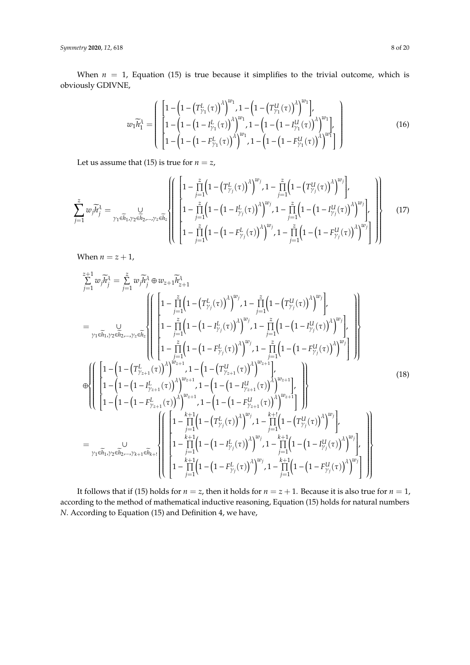When  $n = 1$ , Equation (15) is true because it simplifies to the trivial outcome, which is obviously GDIVNE,

$$
w_1 \widetilde{h}_1^{\lambda} = \begin{pmatrix} \left[ 1 - \left( 1 - \left( T_{\gamma_1}^L(\tau) \right)^{\lambda} \right)^{w_1}, 1 - \left( 1 - \left( T_{\gamma_1}^U(\tau) \right)^{\lambda} \right)^{w_1} \right], \\ \left[ 1 - \left( 1 - \left( 1 - I_{\gamma_1}^L(\tau) \right)^{\lambda} \right)^{w_1}, 1 - \left( 1 - \left( 1 - I_{\gamma_1}^U(\tau) \right)^{\lambda} \right)^{w_1} \right], \\ \left[ 1 - \left( 1 - \left( 1 - F_{\gamma_1}^L(\tau) \right)^{\lambda} \right)^{w_1}, 1 - \left( 1 - \left( 1 - F_{\gamma_1}^U(\tau) \right)^{\lambda} \right)^{w_1} \right] \end{pmatrix}
$$
(16)

Let us assume that (15) is true for  $n = z$ ,

$$
\sum_{j=1}^{z} w_{j} \widetilde{h}_{j}^{\lambda} = \bigcup_{\gamma_{1} \in \widetilde{h}_{1}, \gamma_{2} \in \widetilde{h}_{2}, \dots, \gamma_{z} \in \widetilde{h}_{z}} \left\{ \left[ 1 - \prod_{j=1}^{z} \left( 1 - \left( T_{\gamma_{j}}^{L}(\tau) \right)^{\lambda} \right)^{w_{j}}, 1 - \prod_{j=1}^{z} \left( 1 - \left( T_{\gamma_{j}}^{U}(\tau) \right)^{\lambda} \right)^{w_{j}} \right], \right\}
$$
\n
$$
1 - \prod_{j=1}^{z} \left( 1 - \left( 1 - I_{\gamma_{j}}^{L}(\tau) \right)^{\lambda} \right)^{w_{j}}, 1 - \prod_{j=1}^{z} \left( 1 - \left( 1 - I_{\gamma_{j}}^{U}(\tau) \right)^{\lambda} \right)^{w_{j}} \right\} \left\{ \left[ 1 - \prod_{j=1}^{z} \left( 1 - \left( 1 - I_{\gamma_{j}}^{L}(\tau) \right)^{\lambda} \right)^{w_{j}}, 1 - \prod_{j=1}^{z} \left( 1 - \left( 1 - I_{\gamma_{j}}^{U}(\tau) \right)^{\lambda} \right)^{w_{j}} \right] \right\} \right\} \tag{17}
$$

When  $n = z + 1$ ,

$$
\sum_{j=1}^{z+1} w_j \widetilde{h}_j^{\lambda} = \sum_{j=1}^{z} w_j \widetilde{h}_j^{\lambda} \oplus w_{z+1} \widetilde{h}_{z+1}^{\lambda}
$$
\n
$$
= \bigcup_{\substack{\gamma_1 \in \widetilde{h}_1, \gamma_2 \in h_2, \ldots, \gamma_z \in \widetilde{h}_z}} \left\{ \begin{bmatrix} 1 - \prod_{j=1}^{z} \left(1 - \left(T_{y_j}^L(\tau)\right)^{\lambda}\right)^{w_j}, 1 - \prod_{j=1}^{z} \left(1 - \left(T_{y_j}^U(\tau)\right)^{\lambda}\right)^{w_j}, 1 \\ 1 - \prod_{j=1}^{z} \left(1 - \left(1 - I_{y_j}^L(\tau)\right)^{\lambda}\right)^{w_j}, 1 - \prod_{j=1}^{z} \left(1 - \left(1 - I_{y_j}^U(\tau)\right)^{\lambda}\right)^{w_j}, 1 \right\} \\ 1 - \prod_{j=1}^{z} \left(1 - \left(1 - I_{y_j}^L(\tau)\right)^{\lambda}\right)^{w_j}, 1 - \prod_{j=1}^{z} \left(1 - \left(1 - I_{y_j}^U(\tau)\right)^{\lambda}\right)^{w_j}, 1 \right\} \right\}
$$
\n
$$
= \left\{ \begin{bmatrix} 1 - \left(1 - \left(T_{y_{z+1}}^L(\tau)\right)^{\lambda}\right)^{w_{z+1}}, 1 - \left(1 - \left(T_{y_{z+1}}^U(\tau)\right)^{\lambda}\right)^{w_{z+1}}, 1 - \left(1 - \left(1 - I_{y_{z+1}}^U(\tau)\right)^{\lambda}\right)^{w_{z+1}}, 1 \right\} \\ 1 - \left(1 - \left(1 - I_{y_{z+1}}^L(\tau)\right)^{\lambda}\right)^{w_{z+1}}, 1 - \left(1 - \left(1 - I_{y_{z+1}}^U(\tau)\right)^{\lambda}\right)^{w_{z+1}}, 1 \right\} \end{bmatrix} \right\}
$$
\n
$$
= \bigcup_{\gamma_1 \in \widetilde{h}_1, \gamma_2 \in \widetilde{h}_2, \ldots, \gamma_{k+1} \in \widetilde{h}_{k+1}} \left\{ \begin{bmatrix} 1 - \prod_{j=1}^{k+1} \left(1 - \left
$$

It follows that if (15) holds for  $n = z$ , then it holds for  $n = z + 1$ . Because it is also true for  $n = 1$ , according to the method of mathematical inductive reasoning, Equation (15) holds for natural numbers *N*. According to Equation (15) and Definition 4, we have,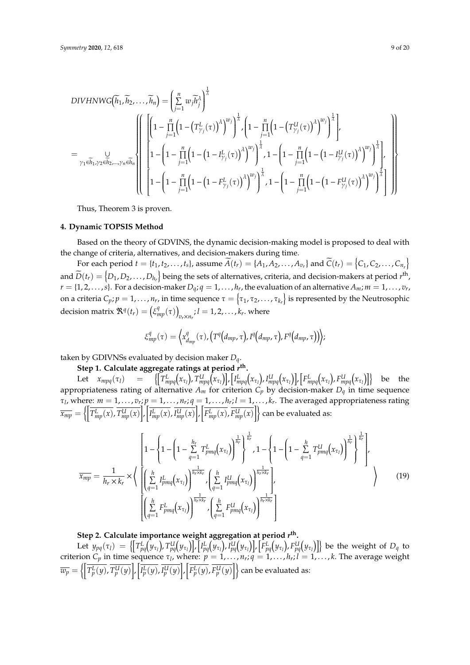DIVHNWG

\n
$$
\overline{h}_{1}, \overline{h}_{2}, \ldots, \overline{h}_{n} = \left( \sum_{j=1}^{n} w_{j} \overline{h}_{j}^{\lambda} \right)^{\frac{1}{\lambda}}
$$
\n
$$
= \bigcup_{\gamma_{1} \in \overline{h}_{1}, \gamma_{2} \in \overline{h}_{2}, \ldots, \gamma_{n} \in \overline{h}_{n}} \left\{ \left[ \left( 1 - \prod_{j=1}^{n} \left( 1 - \left( T_{\gamma_{j}}^{L}(\tau) \right)^{\lambda} \right)^{w_{j}} \right)^{\frac{1}{\lambda}}, \left( 1 - \prod_{j=1}^{n} \left( 1 - \left( T_{\gamma_{j}}^{U}(\tau) \right)^{\lambda} \right)^{w_{j}} \right)^{\frac{1}{\lambda}} \right],
$$
\n
$$
= \bigcup_{\gamma_{1} \in \overline{h}_{1}, \gamma_{2} \in \overline{h}_{2}, \ldots, \gamma_{n} \in \overline{h}_{n}} \left\{ \left[ 1 - \left( 1 - \prod_{j=1}^{n} \left( 1 - \left( 1 - I_{\gamma_{j}}^{L}(\tau) \right)^{\lambda} \right)^{w_{j}} \right)^{\frac{1}{\lambda}}, 1 - \left( 1 - \prod_{j=1}^{n} \left( 1 - \left( 1 - I_{\gamma_{j}}^{U}(\tau) \right)^{\lambda} \right)^{w_{j}} \right)^{\frac{1}{\lambda}} \right],
$$
\n
$$
1 - \left( 1 - \prod_{j=1}^{n} \left( 1 - \left( 1 - F_{\gamma_{j}}^{L}(\tau) \right)^{\lambda} \right)^{w_{j}} \right)^{\frac{1}{\lambda}}, 1 - \left( 1 - \prod_{j=1}^{n} \left( 1 - \left( 1 - F_{\gamma_{j}}^{U}(\tau) \right)^{\lambda} \right)^{w_{j}} \right)^{\frac{1}{\lambda}} \right] \right\}
$$

Thus, Theorem 3 is proven.

## <span id="page-8-0"></span>**4. Dynamic TOPSIS Method**

Based on the theory of GDVINS, the dynamic decision-making model is proposed to deal with the change of criteria, alternatives, and decision-makers during time.

For each period  $t = \{t_1, t_2, \ldots, t_s\}$ , assume  $\widetilde{A}(t_r) = \{A_1, A_2, \ldots, A_{v_r}\}$  and  $\widetilde{C}(t_r) = \{C_1, C_2, \ldots, C_{n_r}\}$ and  $\widetilde{D}(t_r) = (D_1, D_2, \ldots, D_{h_r})$  being the sets of alternatives, criteria, and decision-makers at period  $r^{\rm th}$ ,  $r = \{1, 2, \ldots, s\}$ . For a decision-maker  $D_q$ ;  $q = 1, \ldots, h_r$ , the evaluation of an alternative  $A_m$ ;  $m = 1, \ldots, v_r$ , on a criteria  $C_p$ ;  $p = 1, \ldots, n_r$ , in time sequence  $\tau = \left\{\tau_1, \tau_2, \ldots, \tau_{k_r}\right\}$  is represented by the Neutrosophic  $\text{decision matrix } \mathfrak{R}^q(t_r) = \left( \xi_{mp}^q(\tau) \right)$  $v_r \times n_r$ ;  $l = 1, 2, \ldots, k_r$ . where

$$
\xi_{mp}^q(\tau) = \left\langle x_{d_{mp}}^q(\tau), \left(T^q(d_{mp},\tau), I^q(d_{mp},\tau), F^q(d_{mp},\tau)\right)\right\rangle;
$$

taken by GDIVNSs evaluated by decision maker *Dq*.

**Step 1. Calculate aggregate ratings at period** *r* **th .** Let  $x_{mpq}(\tau_l)$  =  $\left\{ \left[T^L_{mpq}\big(x_{\tau_l}\big),T^U_{mpq}\big(x_{\tau_l}\big)\right],\left[I^L_{mpq}\big(x_{\tau_l}\big),I^U_{mpq}\big(x_{\tau_l}\big)\right],\left[F^L_{mpq}\big(x_{\tau_l}\big),F^U_{mpq}\big(x_{\tau_l}\big)\right] \right\}$  be the appropriateness rating of alternative *A<sup>m</sup>* for criterion *C<sup>p</sup>* by decision-maker *D<sup>q</sup>* in time sequence  $\tau_l$ , where:  $m = 1, \ldots, v_r$ ;  $p = 1, \ldots, n_r$ ;  $q = 1, \ldots, h_r$ ;  $l = 1, \ldots, k_r$ . The averaged appropriateness rating  $\overline{x_{mp}}=\left\{\left[\overline{T_{mp}^L(x)},\overline{T_{mp}^U(x)}\right],\left[\overline{I_{mp}^L(x)},\overline{I_{mp}^U(x)}\right],\left[\overline{F_{mp}^L(x)},\overline{F_{mp}^U(x)}\right]\right\}$  can be evaluated as:

$$
\overline{x_{mp}} = \frac{1}{h_r \times k_r} \times \Bigg\{ \left[ \left( \sum_{q=1}^{h} I_{pmq}^{L}(x_{\tau_l}) \right)^{\frac{1}{h_r}} \right]_{\tau = 1}^{\frac{1}{h_r}} \cdot 1 - \left\{ 1 - \left( 1 - \sum_{q=1}^{h} T_{pmq}^{U}(x_{\tau_l}) \right)^{\frac{1}{h_r}} \right\}^{\frac{1}{h_r}} \cdot \frac{1}{h_r \times k_r} \right\}
$$
\n
$$
\overline{x_{mp}} = \frac{1}{h_r \times k_r} \times \Bigg\{ \left[ \left( \sum_{q=1}^{h} I_{pmq}^{L}(x_{\tau_l}) \right)^{\frac{1}{h_r \times k_r}} \cdot \left( \sum_{q=1}^{h} I_{pmq}^{U}(x_{\tau_l}) \right)^{\frac{1}{h_r \times k_r}} \right],
$$
\n
$$
\left[ \left( \sum_{q=1}^{h} F_{pmq}^{L}(x_{\tau_l}) \right)^{\frac{1}{h_r \times k_r}} \cdot \left( \sum_{q=1}^{h} F_{pmq}^{U}(x_{\tau_l}) \right)^{\frac{1}{h_r \times k_r}} \right] \Bigg\}
$$
\n
$$
(19)
$$

# **Step 2. Calculate importance weight aggregation at period** *r* **th .**

Let  $y_{pq}(\tau_l) \ = \ \left\{ \left[T^L_{pq}\big(y_{\tau_l}\big),T^U_{pq}\big(y_{\tau_l}\big)\right],\left[I^L_{pq}\big(y_{\tau_l}\big),I^U_{pq}\big(y_{\tau_l}\big)\right],\left[F^L_{pq}\big(y_{\tau_l}\big),F^U_{pq}\big(y_{\tau_l}\big)\right] \right\}$  be the weight of  $D_q$  to criterion  $C_p$  in time sequence  $\tau_l$ , where:  $p = 1, \ldots, n_r; q = 1, \ldots, h_r; l = 1, \ldots, k$ . The average weight  $\overline{w_p}=\left\{\left[\overline{I_p^L(y)},\overline{I_p^U(y)}\right], \left[\overline{I_p^L(y)},\overline{I_p^U(y)}\right],\left[\overline{F_p^L(y)},\overline{F_p^U(y)}\right]\right\}$  can be evaluated as: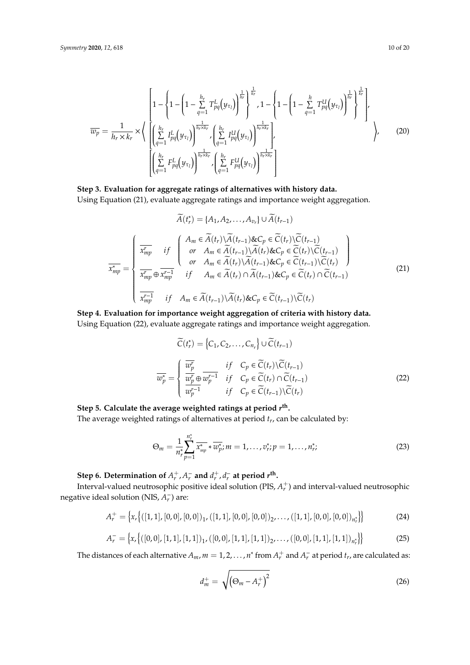$$
\overline{w_p} = \frac{1}{h_r \times k_r} \times \left\{ \left[ \left( \sum_{q=1}^{h_r} I_{pq}^L(y_{\tau_l}) \right)^{\frac{1}{h_r}} \right]_{\tau}^{\frac{1}{h_r}} + \sum_{q=1}^{h_r} I_{pq}^L(y_{\tau_l}) \right]^{\frac{1}{h_r}} \right\}^{1/2}
$$
\n
$$
\overline{w_p} = \frac{1}{h_r \times k_r} \times \left\{ \left[ \left( \sum_{q=1}^{h_r} I_{pq}^L(y_{\tau_l}) \right)^{\frac{1}{h_r \times k_r}} \left( \sum_{q=1}^{h_r} I_{pq}^U(y_{\tau_l}) \right)^{\frac{1}{h_r \times k_r}} \right],
$$
\n
$$
\left[ \left( \sum_{q=1}^{h_r} F_{pq}^L(y_{\tau_l}) \right)^{\frac{1}{h_r \times k_r}} \left( \sum_{q=1}^{h_r} F_{pq}^U(y_{\tau_l}) \right)^{\frac{1}{h_r \times k_r}} \right],
$$
\n(20)

# **Step 3. Evaluation for aggregate ratings of alternatives with history data.**

Using Equation (21), evaluate aggregate ratings and importance weight aggregation.

$$
\widetilde{A}(t_r^*) = \{A_1, A_2, \dots, A_{v_r}\} \cup \widetilde{A}(t_{r-1})
$$
\n
$$
\overline{x_{mp}^*} = \begin{cases}\n\overline{x_{mp}^r} & \text{if } \begin{cases}\nA_m \in \widetilde{A}(t_r) \setminus \widetilde{A}(t_{r-1}) \& C_p \in \widetilde{C}(t_r) \setminus \widetilde{C}(t_{r-1}) \\
or & A_m \in \widetilde{A}(t_{r-1}) \setminus \widetilde{A}(t_r) \& C_p \in \widetilde{C}(t_r) \setminus \widetilde{C}(t_{r-1}) \\
or & A_m \in \widetilde{A}(t_r) \setminus \widetilde{A}(t_{r-1}) \& C_p \in \widetilde{C}(t_{r-1}) \setminus \widetilde{C}(t_r) \\
\overline{x_{mp}^r} & \text{if } A_m \in \widetilde{A}(t_r) \cap \widetilde{A}(t_{r-1}) \& C_p \in \widetilde{C}(t_r) \cap \widetilde{C}(t_{r-1}) \\
\overline{x_{mp}^{r-1}} & \text{if } A_m \in \widetilde{A}(t_{r-1}) \setminus \widetilde{A}(t_r) \& C_p \in \widetilde{C}(t_{r-1}) \setminus \widetilde{C}(t_r)\n\end{cases}\n\tag{21}
$$

**Step 4. Evaluation for importance weight aggregation of criteria with history data.** Using Equation (22), evaluate aggregate ratings and importance weight aggregation.

$$
\widetilde{C}(t_r^*) = \left\{C_1, C_2, \dots, C_{n_r}\right\} \cup \widetilde{C}(t_{r-1})
$$
\n
$$
\overline{w_p^*} = \begin{cases}\n\overline{w_p^r} & \text{if } C_p \in \widetilde{C}(t_r) \setminus \widetilde{C}(t_{r-1}) \\
\overline{w_p^r} \oplus \overline{w_p^{r-1}} & \text{if } C_p \in \widetilde{C}(t_r) \cap \widetilde{C}(t_{r-1}) \\
\overline{w_p^{r-1}} & \text{if } C_p \in \widetilde{C}(t_{r-1}) \setminus \widetilde{C}(t_r)\n\end{cases}
$$
\n(22)

Step 5. Calculate the average weighted ratings at period  $r^{\text{th}}$ .

The average weighted ratings of alternatives at period *t<sup>r</sup>* , can be calculated by:

$$
\Theta_m = \frac{1}{n_r^*} \sum_{p=1}^{n_r^*} \overline{x_{mp}^*} * \overline{w_p^*}; m = 1, \dots, \overline{v_r^*}; p = 1, \dots, n_r^*;
$$
\n(23)

Step 6. Determination of  $A_r^+$ ,  $A_r^-$  and  $d_r^+$ ,  $d_r^-$  at period  $r^{\text{th}}$ .

Interval-valued neutrosophic positive ideal solution (PIS*,*  $A_r^+$ *)* and interval-valued neutrosophic negative ideal solution (NIS, *A* −  $\binom{r}{r}$  are:

$$
A_r^+ = \left\{ x, \left\{ ([1,1], [0,0], [0,0])_1, ([1,1], [0,0], [0,0])_2, \ldots, ([1,1], [0,0], [0,0])_{n_r^*} \right\} \right\}
$$
(24)

$$
A_r^- = \left\{ x, \left\{ ([0,0], [1,1], [1,1])_1, ([0,0], [1,1], [1,1])_2, \dots, ([0,0], [1,1], [1,1])_{n_r^*} \right\} \right\}
$$
(25)

The distances of each alternative  $A_m$ ,  $m = 1, 2, ..., n^*$  from  $A_r^+$  and  $A_r^-$  at period  $t_r$ , are calculated as:

$$
d_m^+ = \sqrt{\left(\Theta_m - A_r^+\right)^2} \tag{26}
$$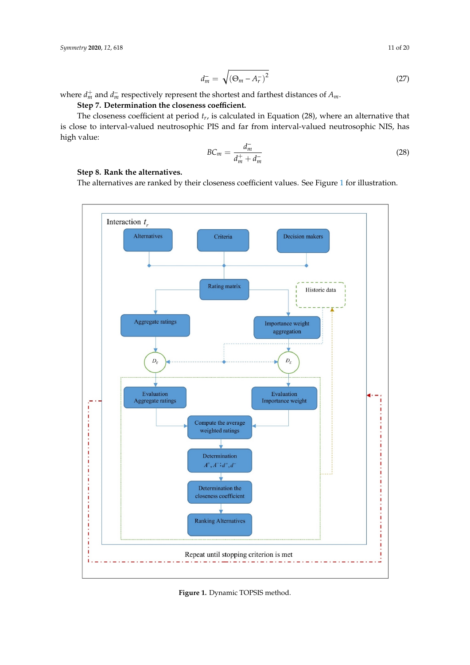$$
d_m^- = \sqrt{\left(\Theta_m - A_r^-\right)^2} \tag{27}
$$

where  $d_m^+$  and  $d_m^-$  respectively represent the shortest and farthest distances of  $A_m$ .

Step 7. Determination the closeness coefficient.

The closeness coefficient at period *t<sup>r</sup>* , is calculated in Equation (28), where an alternative that is close to interval-valued neutrosophic PIS and far from interval-valued neutrosophic NIS, has high value:

$$
BC_m = \frac{d_m^-}{d_m^+ + d_m^-}
$$
\n(28)

# **Step 8. Rank the alternatives.**

The alternatives are ranked by their closeness coefficient values. See Figure [1](#page-10-0) for illustration. *Symmetry* **2020**, *12*, x FOR PEER REVIEW 12 of 23

<span id="page-10-0"></span>

**Figure 1.** Dynamic TOPSIS method. **Figure 1.** Dynamic TOPSIS method.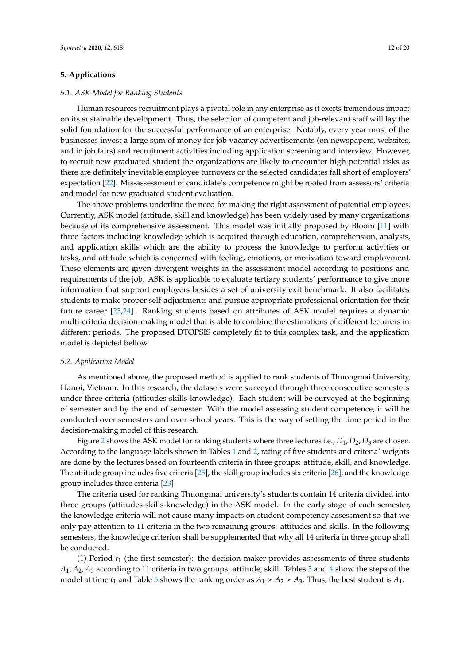## <span id="page-11-0"></span>**5. Applications**

### *5.1. ASK Model for Ranking Students*

Human resources recruitment plays a pivotal role in any enterprise as it exerts tremendous impact on its sustainable development. Thus, the selection of competent and job-relevant staff will lay the solid foundation for the successful performance of an enterprise. Notably, every year most of the businesses invest a large sum of money for job vacancy advertisements (on newspapers, websites, and in job fairs) and recruitment activities including application screening and interview. However, to recruit new graduated student the organizations are likely to encounter high potential risks as there are definitely inevitable employee turnovers or the selected candidates fall short of employers' expectation [\[22\]](#page-19-6). Mis-assessment of candidate's competence might be rooted from assessors' criteria and model for new graduated student evaluation.

The above problems underline the need for making the right assessment of potential employees. Currently, ASK model (attitude, skill and knowledge) has been widely used by many organizations because of its comprehensive assessment. This model was initially proposed by Bloom [\[11\]](#page-18-8) with three factors including knowledge which is acquired through education, comprehension, analysis, and application skills which are the ability to process the knowledge to perform activities or tasks, and attitude which is concerned with feeling, emotions, or motivation toward employment. These elements are given divergent weights in the assessment model according to positions and requirements of the job. ASK is applicable to evaluate tertiary students' performance to give more information that support employers besides a set of university exit benchmark. It also facilitates students to make proper self-adjustments and pursue appropriate professional orientation for their future career [\[23,](#page-19-7)[24\]](#page-19-8). Ranking students based on attributes of ASK model requires a dynamic multi-criteria decision-making model that is able to combine the estimations of different lecturers in different periods. The proposed DTOPSIS completely fit to this complex task, and the application model is depicted bellow.

## *5.2. Application Model*

As mentioned above, the proposed method is applied to rank students of Thuongmai University, Hanoi, Vietnam. In this research, the datasets were surveyed through three consecutive semesters under three criteria (attitudes-skills-knowledge). Each student will be surveyed at the beginning of semester and by the end of semester. With the model assessing student competence, it will be conducted over semesters and over school years. This is the way of setting the time period in the decision-making model of this research.

Figure [2](#page-12-0) shows the ASK model for ranking students where three lectures i.e., *D*1, *D*2, *D*<sup>3</sup> are chosen. According to the language labels shown in Tables [1](#page-13-0) and [2,](#page-13-1) rating of five students and criteria' weights are done by the lectures based on fourteenth criteria in three groups: attitude, skill, and knowledge. The attitude group includes five criteria [\[25\]](#page-19-9), the skill group includes six criteria [\[26\]](#page-19-10), and the knowledge group includes three criteria [\[23\]](#page-19-7).

The criteria used for ranking Thuongmai university's students contain 14 criteria divided into three groups (attitudes-skills-knowledge) in the ASK model. In the early stage of each semester, the knowledge criteria will not cause many impacts on student competency assessment so that we only pay attention to 11 criteria in the two remaining groups: attitudes and skills. In the following semesters, the knowledge criterion shall be supplemented that why all 14 criteria in three group shall be conducted.

(1) Period  $t_1$  (the first semester): the decision-maker provides assessments of three students *A*1, *A*2, *A*<sup>3</sup> according to 11 criteria in two groups: attitude, skill. Tables [3](#page-13-2) and [4](#page-13-3) show the steps of the model at time  $t_1$  and Table [5](#page-14-0) shows the ranking order as  $A_1 > A_2 > A_3$ . Thus, the best student is  $A_1$ .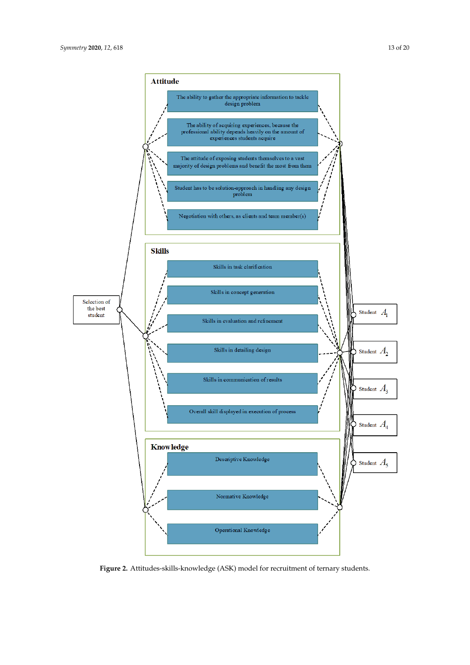<span id="page-12-0"></span>

**Figure 2. Figure 2.** Attitudes-skills-knowledge (ASK) model for recruitment of ternary students. Attitudes-skills-knowledge (ASK) model for recruitment of ternary students.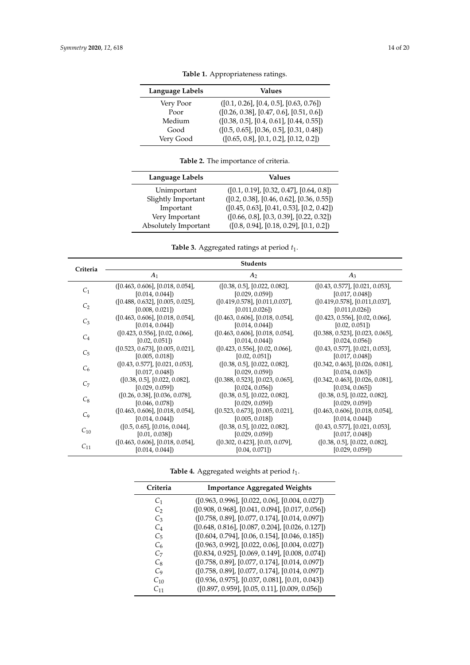<span id="page-13-0"></span>

| Language Labels | Values                                     |
|-----------------|--------------------------------------------|
| Very Poor       | $([0.1, 0.26], [0.4, 0.5], [0.63, 0.76])$  |
| Poor            | $([0.26, 0.38], [0.47, 0.6], [0.51, 0.6])$ |
| Medium          | $([0.38, 0.5], [0.4, 0.61], [0.44, 0.55])$ |
| Good            | $([0.5, 0.65], [0.36, 0.5], [0.31, 0.48])$ |
| Very Good       | $([0.65, 0.8], [0.1, 0.2], [0.12, 0.2])$   |

**Table 1.** Appropriateness ratings.

**Table 2.** The importance of criteria.

<span id="page-13-1"></span>

| Language Labels      | Values                                      |
|----------------------|---------------------------------------------|
| Unimportant          | $([0.1, 0.19], [0.32, 0.47], [0.64, 0.8])$  |
| Slightly Important   | $([0.2, 0.38], [0.46, 0.62], [0.36, 0.55])$ |
| Important            | $([0.45, 0.63], [0.41, 0.53], [0.2, 0.42])$ |
| Very Important       | $([0.66, 0.8], [0.3, 0.39], [0.22, 0.32])$  |
| Absolutely Important | $([0.8, 0.94], [0.18, 0.29], [0.1, 0.2])$   |

Table 3. Aggregated ratings at period  $t_1$ .

<span id="page-13-2"></span>

| Criteria       | <b>Students</b>                  |                                  |                                  |  |  |
|----------------|----------------------------------|----------------------------------|----------------------------------|--|--|
|                | $A_1$                            | A <sub>2</sub>                   | $A_3$                            |  |  |
|                | ([0.463, 0.606], [0.018, 0.054], | ([0.38, 0.5], [0.022, 0.082],    | ([0.43, 0.577], [0.021, 0.053],  |  |  |
| C <sub>1</sub> | [0.014, 0.044]                   | [0.029, 0.059]                   | [0.017, 0.048]                   |  |  |
|                | ([0.488, 0.632], [0.005, 0.025], | ([0.419, 0.578], [0.011, 0.037], | ([0.419, 0.578], [0.011, 0.037], |  |  |
| C <sub>2</sub> | [0.008, 0.021]                   | [0.011, 0.026]                   | [0.011, 0.026]                   |  |  |
| $C_3$          | ([0.463, 0.606], [0.018, 0.054], | ([0.463, 0.606], [0.018, 0.054], | ([0.423, 0.556], [0.02, 0.066],  |  |  |
|                | [0.014, 0.044]                   | [0.014, 0.044]                   | [0.02, 0.051]                    |  |  |
| $C_4$          | ([0.423, 0.556], [0.02, 0.066],  | ([0.463, 0.606], [0.018, 0.054], | ([0.388, 0.523], [0.023, 0.065], |  |  |
|                | [0.02, 0.051]                    | [0.014, 0.044]                   | [0.024, 0.056]                   |  |  |
| $C_{5}$        | ([0.523, 0.673], [0.005, 0.021], | ([0.423, 0.556], [0.02, 0.066],  | ([0.43, 0.577], [0.021, 0.053],  |  |  |
|                | [0.005, 0.018]                   | [0.02, 0.051]                    | [0.017, 0.048]                   |  |  |
| $C_6$          | ([0.43, 0.577], [0.021, 0.053],  | ([0.38, 0.5], [0.022, 0.082],    | ([0.342, 0.463], [0.026, 0.081], |  |  |
|                | [0.017, 0.048]                   | [0.029, 0.059]                   | [0.034, 0.065]                   |  |  |
| $C_7$          | ([0.38, 0.5], [0.022, 0.082],    | ([0.388, 0.523], [0.023, 0.065], | ([0.342, 0.463], [0.026, 0.081], |  |  |
|                | [0.029, 0.059]                   | [0.024, 0.056]                   | [0.034, 0.065]                   |  |  |
| $C_8$          | ([0.26, 0.38], [0.036, 0.078],   | ([0.38, 0.5], [0.022, 0.082],    | ([0.38, 0.5], [0.022, 0.082],    |  |  |
|                | [0.046, 0.078]                   | [0.029, 0.059]                   | [0.029, 0.059]                   |  |  |
| C <sub>9</sub> | ([0.463, 0.606], [0.018, 0.054], | ([0.523, 0.673], [0.005, 0.021], | ([0.463, 0.606], [0.018, 0.054], |  |  |
|                | [0.014, 0.044]                   | [0.005, 0.018]                   | [0.014, 0.044]                   |  |  |
| $C_{10}$       | ([0.5, 0.65], [0.016, 0.044],    | ([0.38, 0.5], [0.022, 0.082],    | ([0.43, 0.577], [0.021, 0.053],  |  |  |
|                | [0.01, 0.038]                    | [0.029, 0.059]                   | [0.017, 0.048]                   |  |  |
| $C_{11}$       | ([0.463, 0.606], [0.018, 0.054], | ([0.302, 0.423], [0.03, 0.079],  | ([0.38, 0.5], [0.022, 0.082],    |  |  |
|                | [0.014, 0.044]                   | [0.04, 0.071]                    | [0.029, 0.059]                   |  |  |

Table 4. Aggregated weights at period  $t_1$ .

<span id="page-13-3"></span>

| Criteria       | <b>Importance Aggregated Weights</b>               |
|----------------|----------------------------------------------------|
| C <sub>1</sub> | $([0.963, 0.996], [0.022, 0.06], [0.004, 0.027])$  |
| $C_2$          | ([0.908, 0.968], [0.041, 0.094], [0.017, 0.056])   |
| $C_3$          | $([0.758, 0.89], [0.077, 0.174], [0.014, 0.097])$  |
| $C_4$          | ([0.648, 0.816], [0.087, 0.204], [0.026, 0.127])   |
| $C_5$          | $([0.604, 0.794], [0.06, 0.154], [0.046, 0.185])$  |
| C <sub>6</sub> | $([0.963, 0.992], [0.022, 0.06], [0.004, 0.027])$  |
| C7             | $([0.834, 0.925], [0.069, 0.149], [0.008, 0.074])$ |
| $C_8$          | $([0.758, 0.89], [0.077, 0.174], [0.014, 0.097])$  |
| C <sub>9</sub> | ([0.758, 0.89], [0.077, 0.174], [0.014, 0.097])    |
| $C_{10}$       | $([0.936, 0.975], [0.037, 0.081], [0.01, 0.043])$  |
| C11            | $([0.897, 0.959], [0.05, 0.11], [0.009, 0.056])$   |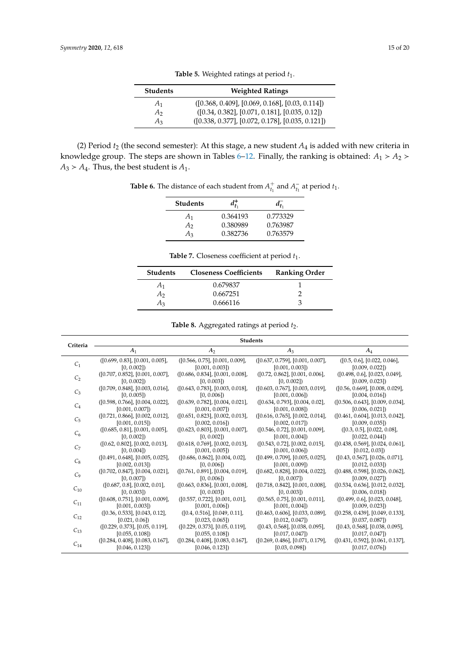<span id="page-14-0"></span>

| <b>Students</b> | <b>Weighted Ratings</b>                            |
|-----------------|----------------------------------------------------|
| $A_1$           | $([0.368, 0.409], [0.069, 0.168], [0.03, 0.114])$  |
| A <sub>2</sub>  | $([0.34, 0.382], [0.071, 0.181], [0.035, 0.12])$   |
| $A_3$           | $([0.338, 0.377], [0.072, 0.178], [0.035, 0.121])$ |

Table 5. Weighted ratings at period  $t_1$ .

<span id="page-14-1"></span>(2) Period  $t_2$  (the second semester): At this stage, a new student  $A_4$  is added with new criteria in knowledge group. The steps are shown in Tables [6–](#page-14-1)[12.](#page-15-0) Finally, the ranking is obtained:  $A_1 > A_2$  $A_3$  >  $A_4$ . Thus, the best student is  $A_1$ .

**Table 6.** The distance of each student from  $A_{t_1}^+$  and  $A_{t_1}^$  $t_1$  at period  $t_1$ .

| Students |          |          |
|----------|----------|----------|
| A1       | 0.364193 | 0.773329 |
| А,       | 0.380989 | 0.763987 |
| Аз       | 0.382736 | 0.763579 |

| <b>Table 7.</b> Closeness coefficient at period $t_1$ . |  |
|---------------------------------------------------------|--|
|---------------------------------------------------------|--|

| <b>Students</b> | <b>Closeness Coefficients</b> | <b>Ranking Order</b> |
|-----------------|-------------------------------|----------------------|
| A <sub>1</sub>  | 0.679837                      |                      |
| A <sub>2</sub>  | 0.667251                      |                      |
| $A_3$           | 0.666116                      |                      |

|  |  |  |  | <b>Table 8.</b> Aggregated ratings at period $t_2$ . |  |  |  |
|--|--|--|--|------------------------------------------------------|--|--|--|
|--|--|--|--|------------------------------------------------------|--|--|--|

| Criteria       | <b>Students</b>                  |                                  |                                  |                                  |
|----------------|----------------------------------|----------------------------------|----------------------------------|----------------------------------|
|                | A <sub>1</sub>                   | A <sub>2</sub>                   | $A_3$                            | $A_4$                            |
| $C_1$          | ([0.699, 0.83], [0.001, 0.005],  | ([0.566, 0.75], [0.001, 0.009],  | ([0.637, 0.759], [0.001, 0.007], | ([0.5, 0.6], [0.022, 0.046],     |
|                | [0, 0.002]                       | [0.001, 0.003]                   | [0.001, 0.003]                   | [0.009, 0.022]                   |
| C <sub>2</sub> | ([0.707, 0.852], [0.001, 0.007], | ([0.686, 0.834], [0.001, 0.008], | ([0.72, 0.862], [0.001, 0.006],  | ([0.498, 0.6], [0.023, 0.049],   |
|                | [0, 0.002]                       | [0, 0.003]                       | [0, 0.002]                       | [0.009, 0.023]                   |
| $C_3$          | ([0.709, 0.848], [0.003, 0.016], | ([0.643, 0.783], [0.003, 0.018], | ([0.603, 0.767], [0.003, 0.019], | ([0.56, 0.669], [0.008, 0.029],  |
|                | [0, 0.005]                       | [0, 0.006]                       | [0.001, 0.006]                   | [0.004, 0.016]                   |
| $C_4$          | ([0.598, 0.766], [0.004, 0.022], | ([0.639, 0.782], [0.004, 0.021], | ([0.634, 0.793], [0.004, 0.02],  | ([0.506, 0.643], [0.009, 0.034], |
|                | [0.001, 0.007]                   | [0.001, 0.007]                   | [0.001, 0.008]                   | [0.006, 0.021]                   |
| C <sub>5</sub> | ([0.721, 0.866], [0.002, 0.012], | ([0.651, 0.823], [0.002, 0.013], | ([0.616, 0.765], [0.002, 0.014], | ([0.461, 0.604], [0.013, 0.042], |
|                | [0.001, 0.015]                   | [0.002, 0.016]                   | [0.002, 0.017]                   | [0.009, 0.035]                   |
| C <sub>6</sub> | ([0.685, 0.81], [0.001, 0.005],  | ([0.623, 0.803], [0.001, 0.007], | ([0.546, 0.72], [0.001, 0.009],  | ([0.3, 0.5], [0.022, 0.08],      |
|                | [0, 0.002]                       | [0, 0.002]                       | [0.001, 0.004]                   | [0.022, 0.044]                   |
| C <sub>7</sub> | ([0.62, 0.802], [0.002, 0.013],  | ([0.618, 0.769], [0.002, 0.013], | ([0.543, 0.72], [0.002, 0.015],  | ([0.438, 0.569], [0.024, 0.061], |
|                | [0, 0.004]                       | [0.001, 0.005]                   | [0.001, 0.006]                   | [0.012, 0.03]                    |
|                | ([0.491, 0.648], [0.005, 0.025], | ([0.686, 0.862], [0.004, 0.02],  | ([0.499, 0.709], [0.005, 0.025], | ([0.43, 0.567], [0.026, 0.071],  |
| $C_8$          | [0.002, 0.013]                   | [0, 0.006]                       | [0.001, 0.009]                   | [0.012, 0.033]                   |
|                | ([0.702, 0.847], [0.004, 0.021], | ([0.761, 0.891], [0.004, 0.019], | ([0.682, 0.828], [0.004, 0.022], | ([0.488, 0.598], [0.026, 0.062], |
| C <sub>9</sub> | [0, 0.007]                       | [0, 0.006]                       | [0, 0.007]                       | [0.009, 0.027]                   |
|                | ([0.687, 0.8], [0.002, 0.01],    | ([0.663, 0.836], [0.001, 0.008], | ([0.718, 0.842], [0.001, 0.008], | ([0.534, 0.636], [0.012, 0.032], |
| $C_{10}$       | [0, 0.003]                       | [0, 0.003]                       | [0, 0.003]                       | [0.006, 0.018]                   |
|                | ([0.608, 0.751], [0.001, 0.009], | ([0.557, 0.722], [0.001, 0.01],  | ([0.565, 0.75], [0.001, 0.011],  | ([0.499, 0.6], [0.023, 0.048],   |
| $C_{11}$       | [0.001, 0.003]                   | [0.001, 0.006]                   | [0.001, 0.004]                   | [0.009, 0.023]                   |
|                | ([0.36, 0.533], [0.043, 0.12],   | ([0.4, 0.516], [0.049, 0.11],    | ([0.463, 0.606], [0.033, 0.089], | ([0.258, 0.439], [0.049, 0.133], |
| $C_{12}$       | [0.021, 0.06]                    | [0.023, 0.065]                   | [0.012, 0.047]                   | [0.037, 0.087]                   |
|                | ([0.229, 0.373], [0.05, 0.119],  | ([0.229, 0.373], [0.05, 0.119],  | ([0.43, 0.568], [0.038, 0.095],  | ([0.43, 0.568], [0.038, 0.095],  |
| $C_{13}$       | [0.055, 0.108]                   | [0.055, 0.108]                   | [0.017, 0.047]                   | [0.017, 0.047]                   |
|                | ([0.284, 0.408], [0.083, 0.167], | ([0.284, 0.408], [0.083, 0.167], | ([0.269, 0.486], [0.071, 0.179], | ([0.431, 0.592], [0.061, 0.137], |
| $C_{14}$       | [0.046, 0.123]                   | [0.046, 0.123]                   | [0.03, 0.098]                    | [0.017, 0.076]                   |
|                |                                  |                                  |                                  |                                  |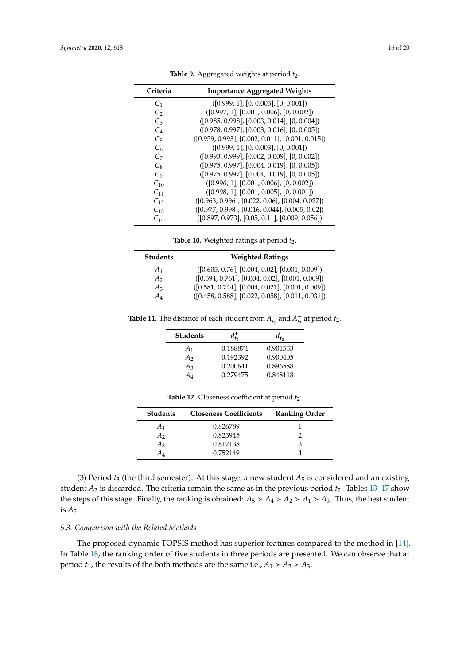| Criteria           | <b>Importance Aggregated Weights</b>               |
|--------------------|----------------------------------------------------|
| C <sub>1</sub>     | ([0.999, 1], [0, 0.003], [0, 0.001])               |
| $C_2$              | $([0.997, 1], [0.001, 0.006], [0, 0.002])$         |
| $C_3$              | $([0.985, 0.998], [0.003, 0.014], [0, 0.004])$     |
| $C_4$              | $([0.978, 0.997], [0.003, 0.016], [0, 0.005])$     |
| $C_{5}$            | $([0.959, 0.993], [0.002, 0.011], [0.001, 0.015])$ |
| $C_6$              | ([0.999, 1], [0, 0.003], [0, 0.001])               |
| C <sub>7</sub>     | $( [0.993, 0.999], [0.002, 0.009], [0, 0.002])$    |
| $C_8$              | $([0.975, 0.997], [0.004, 0.019], [0, 0.005])$     |
| $C_9$              | $([0.975, 0.997], [0.004, 0.019], [0, 0.005])$     |
| $C_{10}$           | $([0.996, 1], [0.001, 0.006], [0, 0.002])$         |
| $C_{11}$           | $([0.998, 1], [0.001, 0.005], [0, 0.001])$         |
| $C_{12}$           | $([0.963, 0.996], [0.022, 0.06], [0.004, 0.027])$  |
| $C_{13}$           | $(0.977, 0.998], [0.016, 0.044], [0.005, 0.02])$   |
| $\mathcal{C}_{14}$ | $([0.897, 0.973], [0.05, 0.11], [0.009, 0.056])$   |

Table 9. Aggregated weights at period  $t_2$ .

Table 10. Weighted ratings at period  $t_2$ .

| <b>Students</b> | <b>Weighted Ratings</b>                            |
|-----------------|----------------------------------------------------|
| $A_1$           | $([0.605, 0.76], [0.004, 0.02], [0.001, 0.009])$   |
| A <sub>2</sub>  | $([0.594, 0.761], [0.004, 0.02], [0.001, 0.009])$  |
| $A_3$           | $([0.581, 0.744], [0.004, 0.021], [0.001, 0.009])$ |
| A4              | $([0.458, 0.588], [0.022, 0.058], [0.011, 0.031])$ |

**Table 11.** The distance of each student from  $A_{t_2}^+$  and  $A_{t_2}^ \frac{1}{t_2}$  at period  $t_2$ .

| <b>Students</b> |          |          |
|-----------------|----------|----------|
| A <sub>1</sub>  | 0.188874 | 0.901553 |
| A <sub>2</sub>  | 0.192392 | 0.900405 |
| $A_3$           | 0.200641 | 0.896588 |
| A4              | 0.279475 | 0.848118 |

<span id="page-15-0"></span>

| <b>Students</b> | <b>Closeness Coefficients</b> | <b>Ranking Order</b> |
|-----------------|-------------------------------|----------------------|
| A <sub>1</sub>  | 0.826789                      |                      |
| А2              | 0.823945                      |                      |
| $A_3$           | 0.817138                      | З                    |
| AΔ              | 0.752149                      |                      |

Table 12. Closeness coefficient at period  $t_2$ .

(3) Period  $t_3$  (the third semester): At this stage, a new student  $A_5$  is considered and an existing student *A*<sub>2</sub> is discarded. The criteria remain the same as in the previous period *t*<sub>2</sub>. Tables [13](#page-16-0)[–17](#page-17-1) show the steps of this stage. Finally, the ranking is obtained:  $A_5 > A_4 > A_2 > A_1 > A_3$ . Thus, the best student is *A*5.

# *5.3. Comparison with the Related Methods*

The proposed dynamic TOPSIS method has superior features compared to the method in [\[14\]](#page-18-5). In Table [18,](#page-17-2) the ranking order of five students in three periods are presented. We can observe that at period  $t_1$ , the results of the both methods are the same i.e.,  $A_1 > A_2 > A_3$ .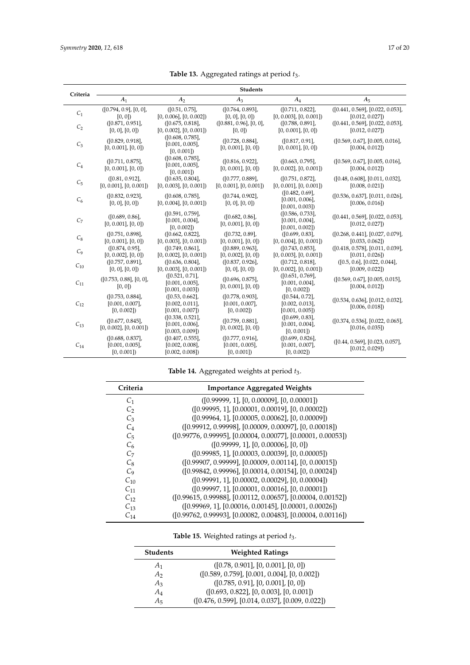<span id="page-16-0"></span>

|                | <b>Students</b>                                      |                                                          |                                                      |                                                      |                                                    |
|----------------|------------------------------------------------------|----------------------------------------------------------|------------------------------------------------------|------------------------------------------------------|----------------------------------------------------|
| Criteria       | A <sub>1</sub>                                       | A <sub>2</sub>                                           | $A_3$                                                | $A_4$                                                | $A_5$                                              |
| C <sub>1</sub> | ([0.794, 0.9], [0, 0],<br>[0, 0]                     | ([0.51, 0.75],<br>$[0, 0.006]$ , $[0, 0.002]$            | ([0.764, 0.893],<br>$[0, 0]$ , $[0, 0]$              | ([0.711, 0.822],<br>$[0, 0.003]$ , $[0, 0.001]$      | ([0.441, 0.569], [0.022, 0.053],<br>[0.012, 0.027] |
| C <sub>2</sub> | ([0.871, 0.951],<br>$[0, 0]$ , $[0, 0]$              | ([0.675, 0.818],<br>$[0, 0.002]$ , $[0, 0.001]$          | ([0.881, 0.96], [0, 0],<br>[0, 0]                    | ([0.788, 0.891],<br>$[0, 0.001]$ , $[0, 0]$          | ([0.441, 0.569], [0.022, 0.053],<br>[0.012, 0.027] |
| $C_3$          | ([0.829, 0.918],<br>$[0, 0.001]$ , $[0, 0]$          | ([0.608, 0.785],<br>$[0.001, 0.005]$ ,<br>[0, 0.001]     | ([0.728, 0.884],<br>$[0, 0.001]$ , $[0, 0]$          | ([0.817, 0.91],<br>$[0, 0.001]$ , $[0, 0]$           | ([0.569, 0.67], [0.005, 0.016],<br>[0.004, 0.012]  |
| $C_4$          | ([0.711, 0.875],<br>$[0, 0.001]$ , $[0, 0]$          | ([0.608, 0.785],<br>$[0.001, 0.005]$ ,<br>[0, 0.001]     | ([0.816, 0.922],<br>$[0, 0.001]$ , $[0, 0]$          | ([0.663, 0.795],<br>$[0, 0.002]$ , $[0, 0.001]$      | ([0.569, 0.67], [0.005, 0.016],<br>[0.004, 0.012]  |
| $C_5$          | ([0.81, 0.912],<br>$[0, 0.001]$ , $[0, 0.001]$       | ([0.635, 0.804],<br>$[0, 0.003]$ , $[0, 0.001]$          | ([0.777, 0.889],<br>$[0, 0.001]$ , $[0, 0.001]$      | ([0.751, 0.872],<br>$[0, 0.001]$ , $[0, 0.001]$      | ([0.48, 0.608], [0.011, 0.032],<br>[0.008, 0.021]  |
| $C_6$          | ([0.832, 0.923],<br>$[0, 0]$ , $[0, 0]$              | ([0.608, 0.785],<br>$[0, 0.004]$ , $[0, 0.001]$          | ([0.744, 0.902],<br>[0, 0], [0, 0]                   | ([0.482, 0.69],<br>[0.001, 0.006]<br>[0.001, 0.003]  | ([0.536, 0.637], [0.011, 0.026],<br>[0.006, 0.016] |
| C <sub>7</sub> | ([0.689, 0.86],<br>$[0, 0.001]$ , $[0, 0]$           | ([0.591, 0.759],<br>$[0.001, 0.004]$ ,<br>[0, 0.002]     | ([0.682, 0.86],<br>$[0, 0.001]$ , $[0, 0]$           | ([0.586, 0.733],<br>[0.001, 0.004]<br>[0.001, 0.002] | ([0.441, 0.569], [0.022, 0.053],<br>[0.012, 0.027] |
| $C_8$          | ([0.751, 0.898],<br>$[0, 0.001]$ , $[0, 0]$          | ([0.662, 0.822],<br>$[0, 0.003]$ , $[0, 0.001]$          | ([0.732, 0.89],<br>$[0, 0.001]$ , $[0, 0]$           | ([0.699, 0.83],<br>$[0, 0.004]$ , $[0, 0.001]$       | ([0.268, 0.441], [0.027, 0.079],<br>[0.033, 0.062] |
| C <sub>9</sub> | ([0.874, 0.95],<br>$[0, 0.002]$ , $[0, 0]$ )         | ([0.749, 0.861],<br>$[0, 0.002]$ , $[0, 0.001]$ )        | ([0.889, 0.963],<br>$[0, 0.002]$ , $[0, 0]$ )        | ([0.743, 0.853],<br>$[0, 0.003]$ , $[0, 0.001]$      | ([0.418, 0.578], [0.011, 0.039],<br>[0.011, 0.026] |
| $C_{10}$       | ([0.757, 0.891],<br>$[0, 0]$ , $[0, 0]$              | ([0.636, 0.804],<br>$[0, 0.003]$ , $[0, 0.001]$          | ([0.837, 0.926],<br>$[0, 0]$ , $[0, 0]$              | ([0.712, 0.818],<br>$[0, 0.002]$ , $[0, 0.001]$      | ([0.5, 0.6], [0.022, 0.044],<br>[0.009, 0.022]     |
| $C_{11}$       | ([0.753, 0.88], [0, 0],<br>[0, 0]                    | ([0.521, 0.71],<br>$[0.001, 0.005]$ ,<br>[0.001, 0.003]  | ([0.696, 0.875],<br>$[0, 0.001]$ , $[0, 0]$          | ([0.651, 0.769],<br>[0.001, 0.004]<br>[0, 0.002]     | ([0.569, 0.67], [0.005, 0.015],<br>[0.004, 0.012]  |
| $C_{12}$       | ([0.753, 0.884],<br>$[0.001, 0.007]$ ,<br>[0, 0.002] | ([0.53, 0.662],<br>[0.002, 0.011]<br>[0.001, 0.007]      | ([0.778, 0.903],<br>$[0.001, 0.007]$ ,<br>[0, 0.002] | ([0.544, 0.72],<br>[0.002, 0.013]<br>[0.001, 0.005]  | ([0.534, 0.636], [0.012, 0.032],<br>[0.006, 0.018] |
| $C_{13}$       | ([0.677, 0.845],<br>$[0, 0.002]$ , $[0, 0.001]$      | ([0.338, 0.521],<br>[0.001, 0.006]<br>[0.003, 0.009]     | ([0.759, 0.881],<br>$[0, 0.002]$ , $[0, 0]$          | ([0.699, 0.83],<br>[0.001, 0.004]<br>[0, 0.001]      | ([0.374, 0.536], [0.022, 0.065],<br>[0.016, 0.035] |
| $C_{14}$       | ([0.688, 0.837],<br>$[0.001, 0.005]$ ,<br>[0, 0.001] | ([0.407, 0.555],<br>$[0.002, 0.008]$ ,<br>[0.002, 0.008] | ([0.777, 0.916],<br>$[0.001, 0.005]$ ,<br>[0, 0.001] | ([0.699, 0.826],<br>$[0.001, 0.007]$ ,<br>[0, 0.002] | ([0.44, 0.569], [0.023, 0.057],<br>[0.012, 0.029]  |

**Table 13.** Aggregated ratings at period *t*3.

**Table 14.** Aggregated weights at period *t*3.

| Criteria       | <b>Importance Aggregated Weights</b>                         |
|----------------|--------------------------------------------------------------|
| C <sub>1</sub> | (0.99999, 1, 0.00009, 0.00001)                               |
| C,             | $(0.99995, 1]$ , $[0.00001, 0.00019]$ , $[0, 0.00002]$       |
| $C_3$          | $([0.99964, 1], [0.00005, 0.00062], [0, 0.00009])$           |
| $C_4$          | $([0.99912, 0.99998], [0.00009, 0.00097], [0, 0.00018])$     |
| C <sub>5</sub> | $(0.99776, 0.99995, 0.00004, 0.00077, 0.00001, 0.00053)$     |
| $C_6$          | ([0.99999, 1], [0, 0.00006], [0, 0])                         |
| C <sub>7</sub> | $( [0.99985, 1], [0.00003, 0.00039], [0, 0.00005] )$         |
| $C_8$          | $([0.99907, 0.99999], [0.00009, 0.00114], [0, 0.00015])$     |
| C <sub>9</sub> | $([0.99842, 0.99996], [0.00014, 0.00154], [0, 0.00024])$     |
| $C_{10}$       | $(0.99991, 1]$ , $[0.00002, 0.00029]$ , $[0, 0.00004]$       |
| $C_{11}$       | $([0.99997, 1], [0.00001, 0.00016], [0, 0.00001])$           |
| $C_{12}$       | $(0.99615, 0.99988, 0.00112, 0.00657, 0.00004, 0.00152)$     |
| $C_{13}$       | $(0.99969, 1, 0.00016, 0.00145, 0.00001, 0.00026)$           |
| $C_{14}$       | ([0.99762, 0.99993], [0.00082, 0.00483], [0.00004, 0.00116]) |

|  | <b>Table 15.</b> Weighted ratings at period $t_3$ . |  |
|--|-----------------------------------------------------|--|
|--|-----------------------------------------------------|--|

| <b>Students</b> | <b>Weighted Ratings</b>                            |  |  |
|-----------------|----------------------------------------------------|--|--|
| $A_1$           | ([0.78, 0.901], [0, 0.001], [0, 0])                |  |  |
| А2              | ([0.589, 0.759], [0.001, 0.004], [0, 0.002])       |  |  |
| $A_3$           | ([0.785, 0.91], [0, 0.001], [0, 0])                |  |  |
| $A_4$           | $([0.693, 0.822], [0, 0.003], [0, 0.001])$         |  |  |
| A <sub>5</sub>  | $([0.476, 0.599], [0.014, 0.037], [0.009, 0.022])$ |  |  |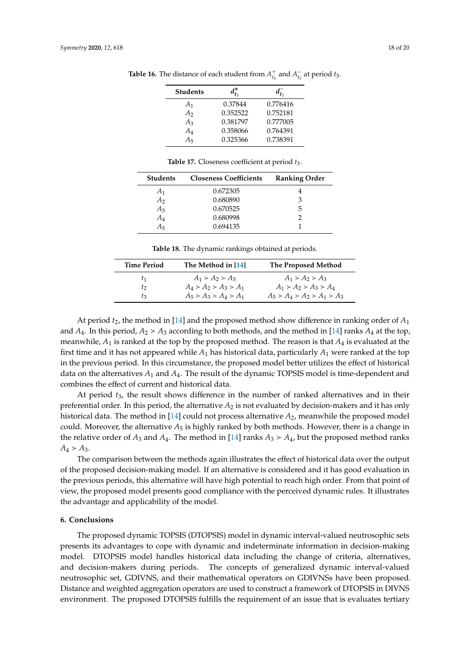| <b>Students</b> |          |          |
|-----------------|----------|----------|
| A <sub>1</sub>  | 0.37844  | 0.776416 |
| A <sub>2</sub>  | 0.352522 | 0.752181 |
| $A_3$           | 0.381797 | 0.777005 |
| $A_4$           | 0.358066 | 0.764391 |
| $A_5$           | 0.325366 | 0.738391 |
|                 |          |          |

**Table 16.** The distance of each student from  $A_{t_3}^+$  and  $A_{t_3}^$  $t_3^-$  at period  $t_3$ .

<span id="page-17-1"></span>

| <b>Students</b> | <b>Closeness Coefficients</b> | <b>Ranking Order</b> |
|-----------------|-------------------------------|----------------------|
| A <sub>1</sub>  | 0.672305                      |                      |
| A <sub>2</sub>  | 0.680890                      | З                    |
| $A_3$           | 0.670525                      | 5                    |
| $A_4$           | 0.680998                      |                      |
| A5              | 0.694135                      |                      |

**Table 17.** Closeness coefficient at period *t*3.

**Table 18.** The dynamic rankings obtained at periods.

<span id="page-17-2"></span>

| <b>Time Period</b> | The Method in [14]      | The Proposed Method           |
|--------------------|-------------------------|-------------------------------|
| t1                 | $A_1 > A_2 > A_3$       | $A_1 > A_2 > A_3$             |
| to                 | $A_4 > A_2 > A_3 > A_1$ | $A_1 > A_2 > A_3 > A_4$       |
| tς                 | $A_5 > A_3 > A_4 > A_1$ | $A_5 > A_4 > A_2 > A_1 > A_3$ |

At period *t*2, the method in [\[14\]](#page-18-5) and the proposed method show difference in ranking order of *A*<sup>1</sup> and  $A_4$ . In this period,  $A_2 > A_3$  according to both methods, and the method in [\[14\]](#page-18-5) ranks  $A_4$  at the top, meanwhile, *A*<sup>1</sup> is ranked at the top by the proposed method. The reason is that *A*<sup>4</sup> is evaluated at the first time and it has not appeared while  $A_1$  has historical data, particularly  $A_1$  were ranked at the top in the previous period. In this circumstance, the proposed model better utilizes the effect of historical data on the alternatives *A*<sup>1</sup> and *A*4. The result of the dynamic TOPSIS model is time-dependent and combines the effect of current and historical data.

At period *t*3, the result shows difference in the number of ranked alternatives and in their preferential order. In this period, the alternative  $A_2$  is not evaluated by decision-makers and it has only historical data. The method in [\[14\]](#page-18-5) could not process alternative *A*2, meanwhile the proposed model could. Moreover, the alternative  $A_5$  is highly ranked by both methods. However, there is a change in the relative order of  $A_3$  and  $A_4$ . The method in [\[14\]](#page-18-5) ranks  $A_3 > A_4$ , but the proposed method ranks  $A_4 > A_3$ .

The comparison between the methods again illustrates the effect of historical data over the output of the proposed decision-making model. If an alternative is considered and it has good evaluation in the previous periods, this alternative will have high potential to reach high order. From that point of view, the proposed model presents good compliance with the perceived dynamic rules. It illustrates the advantage and applicability of the model.

## <span id="page-17-0"></span>**6. Conclusions**

The proposed dynamic TOPSIS (DTOPSIS) model in dynamic interval-valued neutrosophic sets presents its advantages to cope with dynamic and indeterminate information in decision-making model. DTOPSIS model handles historical data including the change of criteria, alternatives, and decision-makers during periods. The concepts of generalized dynamic interval-valued neutrosophic set, GDIVNS, and their mathematical operators on GDIVNSs have been proposed. Distance and weighted aggregation operators are used to construct a framework of DTOPSIS in DIVNS environment. The proposed DTOPSIS fulfills the requirement of an issue that is evaluates tertiary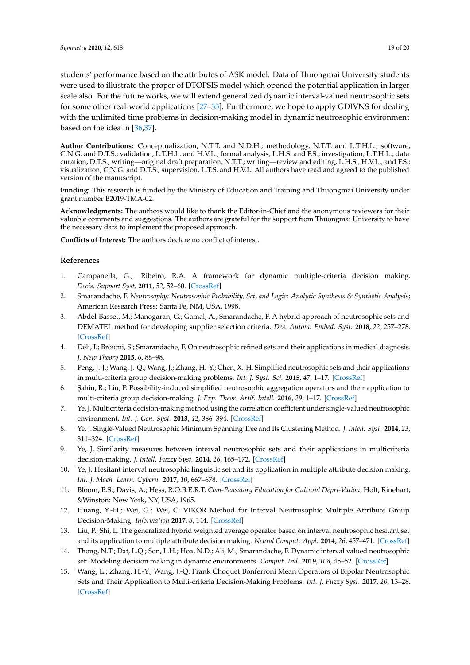students' performance based on the attributes of ASK model. Data of Thuongmai University students were used to illustrate the proper of DTOPSIS model which opened the potential application in larger scale also. For the future works, we will extend generalized dynamic interval-valued neutrosophic sets for some other real-world applications [\[27–](#page-19-11)[35\]](#page-19-12). Furthermore, we hope to apply GDIVNS for dealing with the unlimited time problems in decision-making model in dynamic neutrosophic environment based on the idea in [\[36](#page-19-13)[,37\]](#page-19-14).

**Author Contributions:** Conceptualization, N.T.T. and N.D.H.; methodology, N.T.T. and L.T.H.L.; software, C.N.G. and D.T.S.; validation, L.T.H.L. and H.V.L.; formal analysis, L.H.S. and F.S.; investigation, L.T.H.L.; data curation, D.T.S.; writing—original draft preparation, N.T.T.; writing—review and editing, L.H.S., H.V.L., and F.S.; visualization, C.N.G. and D.T.S.; supervision, L.T.S. and H.V.L. All authors have read and agreed to the published version of the manuscript.

**Funding:** This research is funded by the Ministry of Education and Training and Thuongmai University under grant number B2019-TMA-02.

**Acknowledgments:** The authors would like to thank the Editor-in-Chief and the anonymous reviewers for their valuable comments and suggestions. The authors are grateful for the support from Thuongmai University to have the necessary data to implement the proposed approach.

**Conflicts of Interest:** The authors declare no conflict of interest.

# **References**

- <span id="page-18-0"></span>1. Campanella, G.; Ribeiro, R.A. A framework for dynamic multiple-criteria decision making. *Decis. Support Syst.* **2011**, *52*, 52–60. [\[CrossRef\]](http://dx.doi.org/10.1016/j.dss.2011.05.003)
- <span id="page-18-1"></span>2. Smarandache, F. *Neutrosophy: Neutrosophic Probability, Set, and Logic: Analytic Synthesis & Synthetic Analysis*; American Research Press: Santa Fe, NM, USA, 1998.
- <span id="page-18-2"></span>3. Abdel-Basset, M.; Manogaran, G.; Gamal, A.; Smarandache, F. A hybrid approach of neutrosophic sets and DEMATEL method for developing supplier selection criteria. *Des. Autom. Embed. Syst.* **2018**, *22*, 257–278. [\[CrossRef\]](http://dx.doi.org/10.1007/s10617-018-9203-6)
- 4. Deli, I.; Broumi, S.; Smarandache, F. On neutrosophic refined sets and their applications in medical diagnosis. *J. New Theory* **2015**, *6*, 88–98.
- 5. Peng, J.-J.; Wang, J.-Q.; Wang, J.; Zhang, H.-Y.; Chen, X.-H. Simplified neutrosophic sets and their applications in multi-criteria group decision-making problems. *Int. J. Syst. Sci.* **2015**, *47*, 1–17. [\[CrossRef\]](http://dx.doi.org/10.1080/00207721.2014.994050)
- 6. ¸Sahin, R.; Liu, P. Possibility-induced simplified neutrosophic aggregation operators and their application to multi-criteria group decision-making. *J. Exp. Theor. Artif. Intell.* **2016**, *29*, 1–17. [\[CrossRef\]](http://dx.doi.org/10.1080/0952813X.2016.1259266)
- 7. Ye, J. Multicriteria decision-making method using the correlation coefficient under single-valued neutrosophic environment. *Int. J. Gen. Syst.* **2013**, *42*, 386–394. [\[CrossRef\]](http://dx.doi.org/10.1080/03081079.2012.761609)
- 8. Ye, J. Single-Valued Neutrosophic Minimum Spanning Tree and Its Clustering Method. *J. Intell. Syst.* **2014**, *23*, 311–324. [\[CrossRef\]](http://dx.doi.org/10.1515/jisys-2013-0075)
- <span id="page-18-4"></span>9. Ye, J. Similarity measures between interval neutrosophic sets and their applications in multicriteria decision-making. *J. Intell. Fuzzy Syst.* **2014**, *26*, 165–172. [\[CrossRef\]](http://dx.doi.org/10.3233/IFS-120724)
- <span id="page-18-7"></span>10. Ye, J. Hesitant interval neutrosophic linguistic set and its application in multiple attribute decision making. *Int. J. Mach. Learn. Cybern.* **2017**, *10*, 667–678. [\[CrossRef\]](http://dx.doi.org/10.1007/s13042-017-0747-8)
- <span id="page-18-8"></span>11. Bloom, B.S.; Davis, A.; Hess, R.O.B.E.R.T. *Com-Pensatory Education for Cultural Depri-Vation*; Holt, Rinehart, &Winston: New York, NY, USA, 1965.
- 12. Huang, Y.-H.; Wei, G.; Wei, C. VIKOR Method for Interval Neutrosophic Multiple Attribute Group Decision-Making. *Information* **2017**, *8*, 144. [\[CrossRef\]](http://dx.doi.org/10.3390/info8040144)
- <span id="page-18-6"></span>13. Liu, P.; Shi, L. The generalized hybrid weighted average operator based on interval neutrosophic hesitant set and its application to multiple attribute decision making. *Neural Comput. Appl.* **2014**, *26*, 457–471. [\[CrossRef\]](http://dx.doi.org/10.1007/s00521-014-1736-4)
- <span id="page-18-5"></span>14. Thong, N.T.; Dat, L.Q.; Son, L.H.; Hoa, N.D.; Ali, M.; Smarandache, F. Dynamic interval valued neutrosophic set: Modeling decision making in dynamic environments. *Comput. Ind.* **2019**, *108*, 45–52. [\[CrossRef\]](http://dx.doi.org/10.1016/j.compind.2019.02.009)
- <span id="page-18-3"></span>15. Wang, L.; Zhang, H.-Y.; Wang, J.-Q. Frank Choquet Bonferroni Mean Operators of Bipolar Neutrosophic Sets and Their Application to Multi-criteria Decision-Making Problems. *Int. J. Fuzzy Syst.* **2017**, *20*, 13–28. [\[CrossRef\]](http://dx.doi.org/10.1007/s40815-017-0373-3)